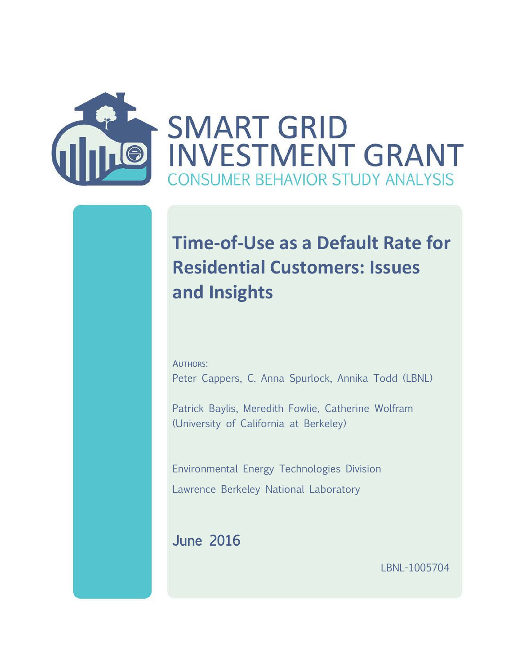

# **SMART GRID<br>INVESTMENT GRANT**<br>CONSUMER BEHAVIOR STUDY ANALYSIS

# **Time-of-Use as a Default Rate for Residential Customers: Issues and Insights**

AUTHORS: Peter Cappers, C. Anna Spurlock, Annika Todd (LBNL)

Patrick Baylis, Meredith Fowlie, Catherine Wolfram (University of California at Berkeley)

Environmental Energy Technologies Division Lawrence Berkeley National Laboratory

June 2016

LBNL-1005704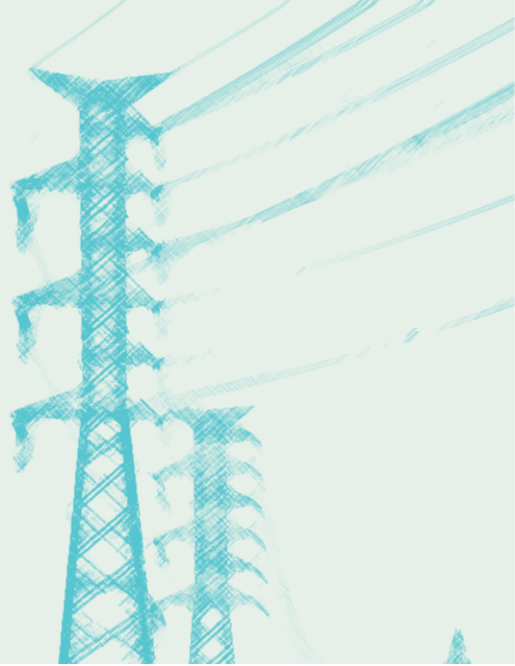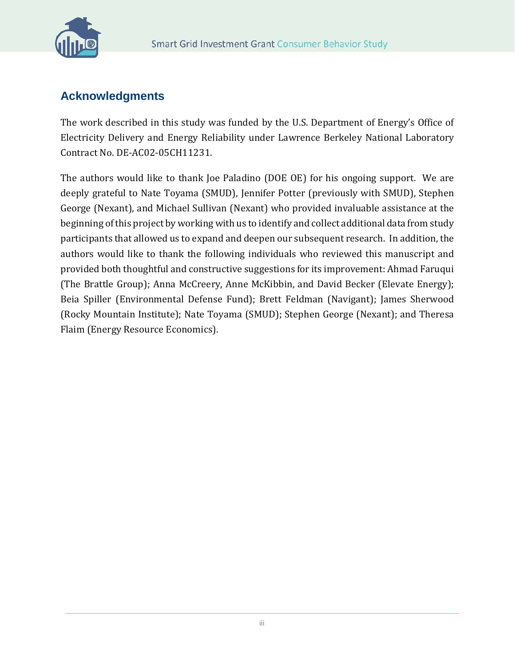

# **Acknowledgments**

The work described in this study was funded by the U.S. Department of Energy's Office of Electricity Delivery and Energy Reliability under Lawrence Berkeley National Laboratory Contract No. DE-AC02-05CH11231.

The authors would like to thank Joe Paladino (DOE OE) for his ongoing support. We are deeply grateful to Nate Toyama (SMUD), Jennifer Potter (previously with SMUD), Stephen George (Nexant), and Michael Sullivan (Nexant) who provided invaluable assistance at the beginning of this project by working with us to identify and collect additional data from study participants that allowed us to expand and deepen our subsequent research. In addition, the authors would like to thank the following individuals who reviewed this manuscript and provided both thoughtful and constructive suggestions for its improvement: Ahmad Faruqui (The Brattle Group); Anna McCreery, Anne McKibbin, and David Becker (Elevate Energy); Beia Spiller (Environmental Defense Fund); Brett Feldman (Navigant); James Sherwood (Rocky Mountain Institute); Nate Toyama (SMUD); Stephen George (Nexant); and Theresa Flaim (Energy Resource Economics).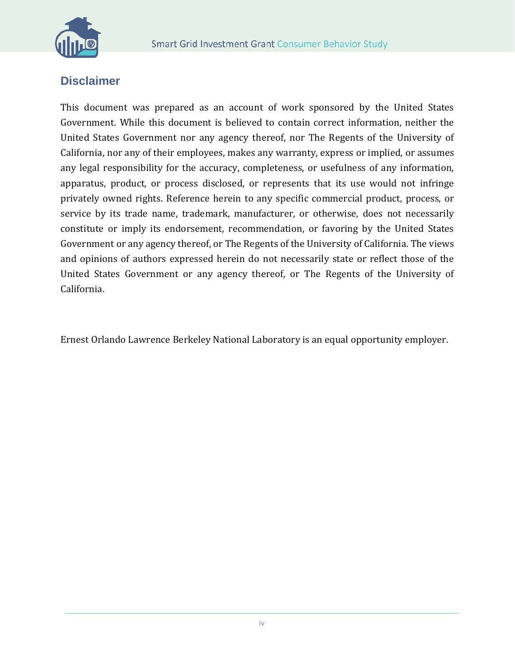

# **Disclaimer**

This document was prepared as an account of work sponsored by the United States Government. While this document is believed to contain correct information, neither the United States Government nor any agency thereof, nor The Regents of the University of California, nor any of their employees, makes any warranty, express or implied, or assumes any legal responsibility for the accuracy, completeness, or usefulness of any information, apparatus, product, or process disclosed, or represents that its use would not infringe privately owned rights. Reference herein to any specific commercial product, process, or service by its trade name, trademark, manufacturer, or otherwise, does not necessarily constitute or imply its endorsement, recommendation, or favoring by the United States Government or any agency thereof, or The Regents of the University of California. The views and opinions of authors expressed herein do not necessarily state or reflect those of the United States Government or any agency thereof, or The Regents of the University of California.

Ernest Orlando Lawrence Berkeley National Laboratory is an equal opportunity employer.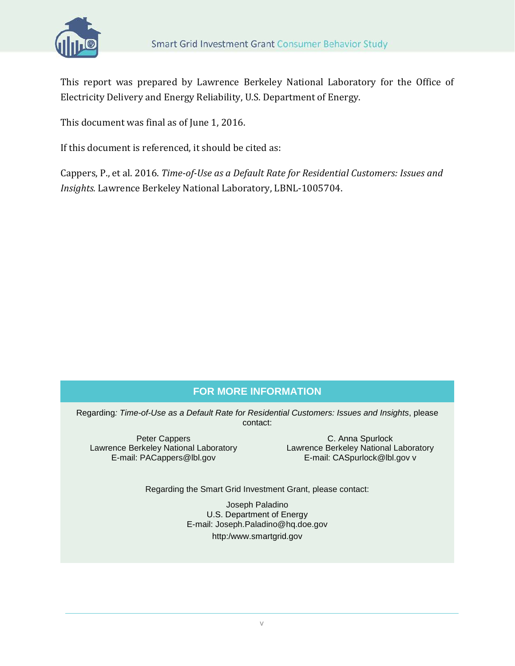

This report was prepared by Lawrence Berkeley National Laboratory for the Office of Electricity Delivery and Energy Reliability, U.S. Department of Energy.

This document was final as of June 1, 2016.

If this document is referenced, it should be cited as:

Cappers, P., et al. 2016. *Time-of-Use as a Default Rate for Residential Customers: Issues and Insights.* Lawrence Berkeley National Laboratory, LBNL-1005704.

#### **FOR MORE INFORMATION**

Regarding*: Time-of-Use as a Default Rate for Residential Customers: Issues and Insights*, please contact:

Peter Cappers Lawrence Berkeley National Laboratory E-mail: PACappers@lbl.gov

C. Anna Spurlock Lawrence Berkeley National Laboratory E-mail: CASpurlock@lbl.gov v

Regarding the Smart Grid Investment Grant, please contact:

Joseph Paladino U.S. Department of Energy E-mail: Joseph.Paladino@hq.doe.gov http:/www.smartgrid.gov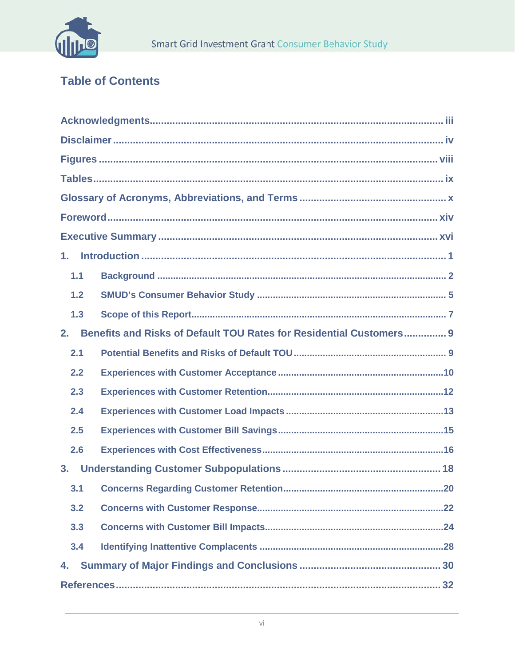

# **Table of Contents**

| 1.                                                                               |  |  |
|----------------------------------------------------------------------------------|--|--|
| 1.1                                                                              |  |  |
| 1.2                                                                              |  |  |
| 1.3                                                                              |  |  |
| <b>Benefits and Risks of Default TOU Rates for Residential Customers 9</b><br>2. |  |  |
| 2.1                                                                              |  |  |
| 2.2                                                                              |  |  |
| 2.3                                                                              |  |  |
| 2.4                                                                              |  |  |
| 2.5                                                                              |  |  |
| 2.6                                                                              |  |  |
| 3.                                                                               |  |  |
| 3.1                                                                              |  |  |
| 3.2                                                                              |  |  |
| 3.3                                                                              |  |  |
| 3.4                                                                              |  |  |
| 4.                                                                               |  |  |
|                                                                                  |  |  |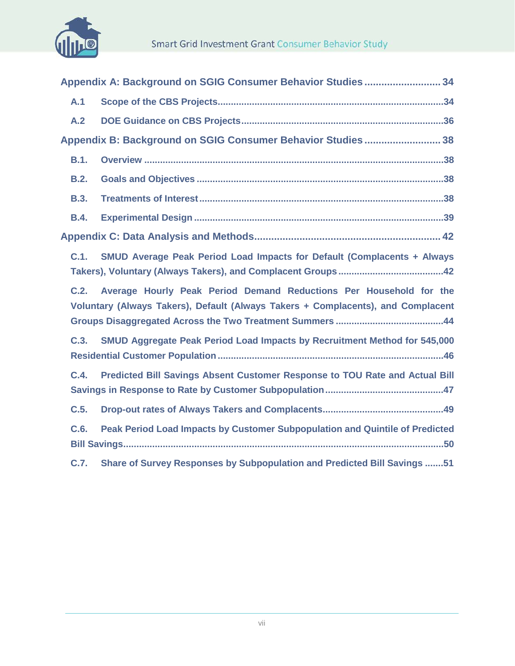

|             | Appendix A: Background on SGIG Consumer Behavior Studies 34                                                                                            |
|-------------|--------------------------------------------------------------------------------------------------------------------------------------------------------|
| A.1         |                                                                                                                                                        |
| A.2         |                                                                                                                                                        |
|             | Appendix B: Background on SGIG Consumer Behavior Studies 38                                                                                            |
| <b>B.1.</b> |                                                                                                                                                        |
| B.2.        |                                                                                                                                                        |
| <b>B.3.</b> |                                                                                                                                                        |
| <b>B.4.</b> |                                                                                                                                                        |
|             |                                                                                                                                                        |
| C.1.        | SMUD Average Peak Period Load Impacts for Default (Complacents + Always                                                                                |
| C.2.        | Average Hourly Peak Period Demand Reductions Per Household for the<br>Voluntary (Always Takers), Default (Always Takers + Complacents), and Complacent |
| C.3.        | SMUD Aggregate Peak Period Load Impacts by Recruitment Method for 545,000                                                                              |
| C.4.        | Predicted Bill Savings Absent Customer Response to TOU Rate and Actual Bill                                                                            |
| C.5.        |                                                                                                                                                        |
| C.6.        | Peak Period Load Impacts by Customer Subpopulation and Quintile of Predicted                                                                           |
| C.7.        | Share of Survey Responses by Subpopulation and Predicted Bill Savings 51                                                                               |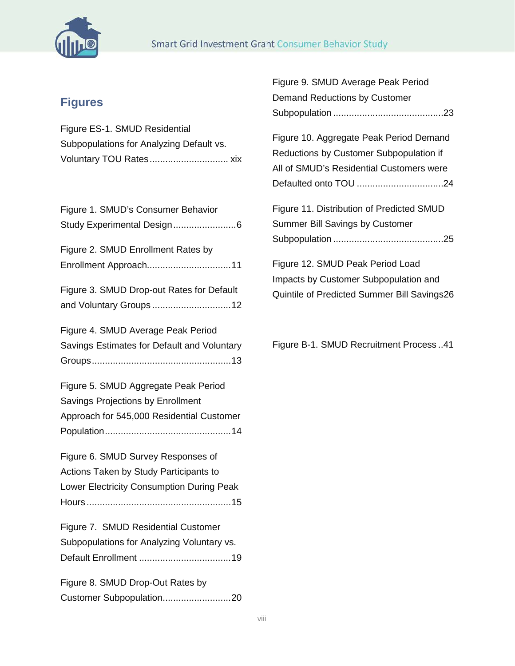

# **Figures**

| Figure ES-1. SMUD Residential            |  |
|------------------------------------------|--|
| Subpopulations for Analyzing Default vs. |  |
| Voluntary TOU Rates xix                  |  |

| Figure 1. SMUD's Consumer Behavior<br>Study Experimental Design6                                                          |
|---------------------------------------------------------------------------------------------------------------------------|
| Figure 2. SMUD Enrollment Rates by                                                                                        |
| Figure 3. SMUD Drop-out Rates for Default<br>and Voluntary Groups 12                                                      |
| Figure 4. SMUD Average Peak Period<br>Savings Estimates for Default and Voluntary                                         |
| Figure 5. SMUD Aggregate Peak Period<br>Savings Projections by Enrollment<br>Approach for 545,000 Residential Customer    |
| Figure 6. SMUD Survey Responses of<br>Actions Taken by Study Participants to<br>Lower Electricity Consumption During Peak |
| Figure 7. SMUD Residential Customer<br>Subpopulations for Analyzing Voluntary vs.                                         |
| Figure 8. SMUD Drop-Out Rates by<br>Customer Subpopulation20                                                              |

| Figure 9. SMUD Average Peak Period          |
|---------------------------------------------|
| Demand Reductions by Customer               |
|                                             |
|                                             |
| Figure 10. Aggregate Peak Period Demand     |
| Reductions by Customer Subpopulation if     |
| All of SMUD's Residential Customers were    |
|                                             |
|                                             |
|                                             |
| Figure 11. Distribution of Predicted SMUD   |
| Summer Bill Savings by Customer             |
|                                             |
|                                             |
| Figure 12. SMUD Peak Period Load            |
| Impacts by Customer Subpopulation and       |
| Quintile of Predicted Summer Bill Savings26 |

[Figure B-1. SMUD Recruitment Process](#page-63-0) ..41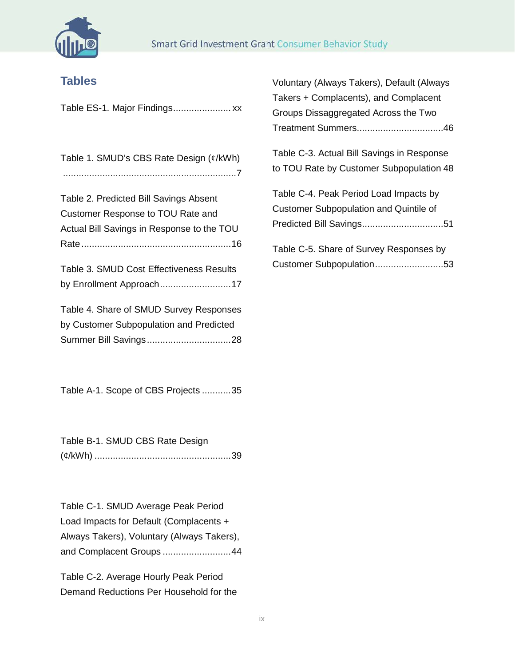

# **Tables**

| Table ES-1. Major Findings xx                                                                                             |
|---------------------------------------------------------------------------------------------------------------------------|
| Table 1. SMUD's CBS Rate Design (¢/kWh)                                                                                   |
| Table 2. Predicted Bill Savings Absent<br>Customer Response to TOU Rate and<br>Actual Bill Savings in Response to the TOU |
| Table 3. SMUD Cost Effectiveness Results<br>by Enrollment Approach17                                                      |
| Table 4. Share of SMUD Survey Responses<br>by Customer Subpopulation and Predicted<br>Summer Bill Savings28               |
| Table A-1. Scope of CBS Projects 35                                                                                       |

[Table B-1. SMUD CBS Rate Design](#page-61-0)  (¢/kWh) [....................................................39](#page-61-0)

[Table C-1. SMUD Average Peak Period](#page-66-0)  [Load Impacts for Default \(Complacents +](#page-66-0)  [Always Takers\), Voluntary \(Always Takers\),](#page-66-0)  [and Complacent Groups](#page-66-0) ..........................44

[Table C-2. Average Hourly Peak Period](#page-68-0)  [Demand Reductions Per Household for the](#page-68-0) 

| Voluntary (Always Takers), Default (Always |
|--------------------------------------------|
| Takers + Complacents), and Complacent      |
| Groups Dissaggregated Across the Two       |
|                                            |

[Table C-3. Actual Bill Savings in Response](#page-70-0)  [to TOU Rate by Customer Subpopulation](#page-70-0) 48

[Table C-4. Peak Period Load Impacts by](#page-73-0)  [Customer Subpopulation and Quintile of](#page-73-0)  [Predicted Bill Savings...............................51](#page-73-0)

[Table C-5. Share of Survey Responses by](#page-75-0)  [Customer Subpopulation..........................53](#page-75-0)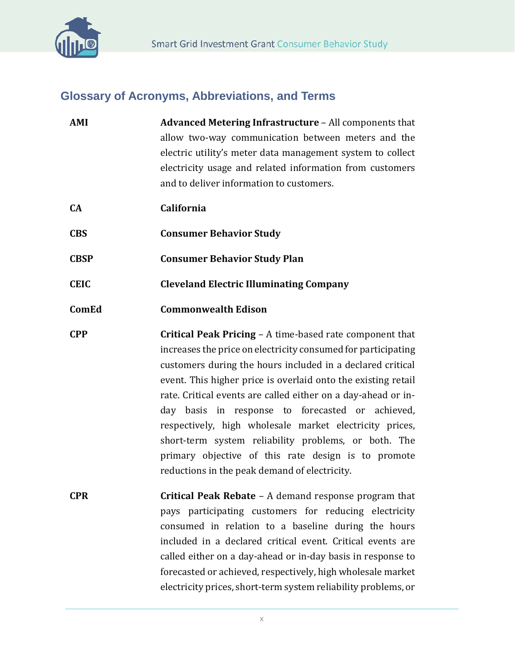

# **Glossary of Acronyms, Abbreviations, and Terms**

| AMI         | <b>Advanced Metering Infrastructure - All components that</b> |
|-------------|---------------------------------------------------------------|
|             | allow two-way communication between meters and the            |
|             | electric utility's meter data management system to collect    |
|             | electricity usage and related information from customers      |
|             | and to deliver information to customers.                      |
| CA          | <b>California</b>                                             |
| <b>CBS</b>  | <b>Consumer Behavior Study</b>                                |
| <b>CBSP</b> | <b>Consumer Behavior Study Plan</b>                           |
| <b>CEIC</b> | <b>Cleveland Electric Illuminating Company</b>                |
| ComEd       | <b>Commonwealth Edison</b>                                    |
| <b>CPP</b>  | Critical Peak Pricing - A time-based rate component that      |
|             | increases the price on electricity consumed for participating |
|             | customers during the hours included in a declared critical    |
|             | event. This higher price is overlaid onto the existing retail |
|             | rate. Critical events are called either on a day-ahead or in- |
|             | day basis in response to forecasted or achieved,              |
|             | respectively, high wholesale market electricity prices,       |
|             | short-term system reliability problems, or both. The          |
|             | primary objective of this rate design is to promote           |
|             | reductions in the peak demand of electricity.                 |
|             |                                                               |
| <b>CPR</b>  | Critical Peak Rebate - A demand response program that         |
|             | pays participating customers for reducing electricity         |
|             | consumed in relation to a baseline during the hours           |
|             | included in a declared critical event. Critical events are    |
|             | called either on a day-ahead or in-day basis in response to   |
|             | forecasted or achieved, respectively, high wholesale market   |

electricity prices, short-term system reliability problems, or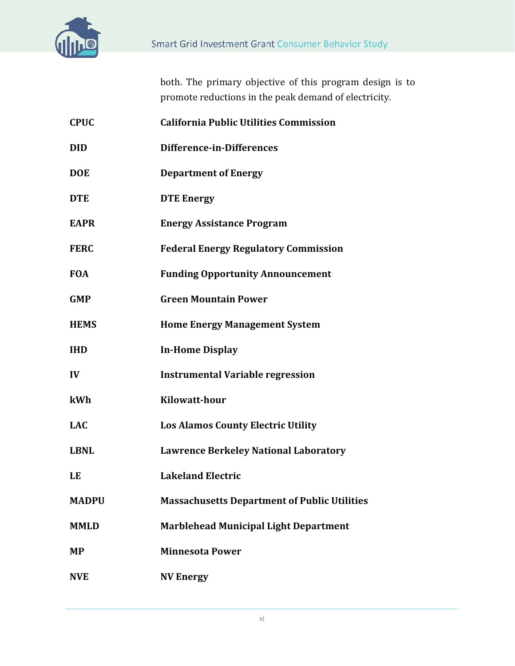

both. The primary objective of this program design is to promote reductions in the peak demand of electricity.

| <b>CPUC</b>  | <b>California Public Utilities Commission</b>       |
|--------------|-----------------------------------------------------|
| <b>DID</b>   | Difference-in-Differences                           |
| <b>DOE</b>   | <b>Department of Energy</b>                         |
| <b>DTE</b>   | <b>DTE Energy</b>                                   |
| <b>EAPR</b>  | <b>Energy Assistance Program</b>                    |
| <b>FERC</b>  | <b>Federal Energy Regulatory Commission</b>         |
| <b>FOA</b>   | <b>Funding Opportunity Announcement</b>             |
| <b>GMP</b>   | <b>Green Mountain Power</b>                         |
| <b>HEMS</b>  | <b>Home Energy Management System</b>                |
| <b>IHD</b>   | <b>In-Home Display</b>                              |
| IV           | <b>Instrumental Variable regression</b>             |
| kWh          | Kilowatt-hour                                       |
| <b>LAC</b>   | <b>Los Alamos County Electric Utility</b>           |
| <b>LBNL</b>  | <b>Lawrence Berkeley National Laboratory</b>        |
| LE           | <b>Lakeland Electric</b>                            |
| <b>MADPU</b> | <b>Massachusetts Department of Public Utilities</b> |
| <b>MMLD</b>  | <b>Marblehead Municipal Light Department</b>        |
| <b>MP</b>    | <b>Minnesota Power</b>                              |
| <b>NVE</b>   | <b>NV Energy</b>                                    |
|              |                                                     |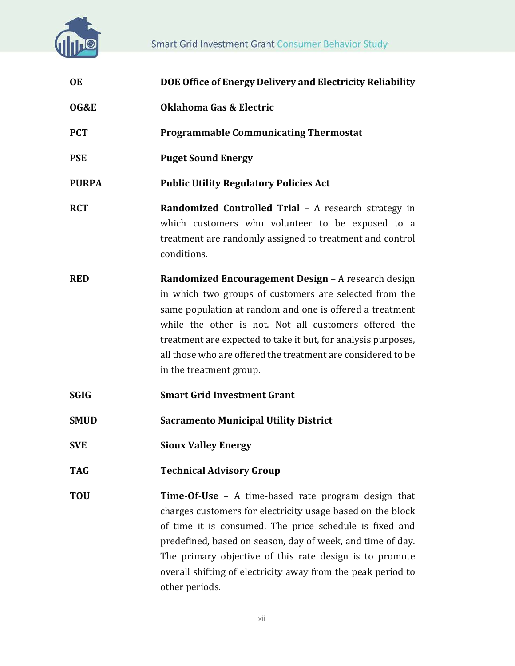

| <b>OE</b>       | DOE Office of Energy Delivery and Electricity Reliability                                                                                                                                                                                                                                                                                                                                      |
|-----------------|------------------------------------------------------------------------------------------------------------------------------------------------------------------------------------------------------------------------------------------------------------------------------------------------------------------------------------------------------------------------------------------------|
| <b>OG&amp;E</b> | <b>Oklahoma Gas &amp; Electric</b>                                                                                                                                                                                                                                                                                                                                                             |
| <b>PCT</b>      | <b>Programmable Communicating Thermostat</b>                                                                                                                                                                                                                                                                                                                                                   |
| <b>PSE</b>      | <b>Puget Sound Energy</b>                                                                                                                                                                                                                                                                                                                                                                      |
| <b>PURPA</b>    | <b>Public Utility Regulatory Policies Act</b>                                                                                                                                                                                                                                                                                                                                                  |
| <b>RCT</b>      | Randomized Controlled Trial - A research strategy in<br>which customers who volunteer to be exposed to a<br>treatment are randomly assigned to treatment and control<br>conditions.                                                                                                                                                                                                            |
| <b>RED</b>      | Randomized Encouragement Design - A research design<br>in which two groups of customers are selected from the<br>same population at random and one is offered a treatment<br>while the other is not. Not all customers offered the<br>treatment are expected to take it but, for analysis purposes,<br>all those who are offered the treatment are considered to be<br>in the treatment group. |
| <b>SGIG</b>     | <b>Smart Grid Investment Grant</b>                                                                                                                                                                                                                                                                                                                                                             |
| <b>SMUD</b>     | <b>Sacramento Municipal Utility District</b>                                                                                                                                                                                                                                                                                                                                                   |
| <b>SVE</b>      | <b>Sioux Valley Energy</b>                                                                                                                                                                                                                                                                                                                                                                     |
| <b>TAG</b>      | <b>Technical Advisory Group</b>                                                                                                                                                                                                                                                                                                                                                                |
| <b>TOU</b>      | <b>Time-Of-Use</b> - A time-based rate program design that<br>charges customers for electricity usage based on the block<br>of time it is consumed. The price schedule is fixed and<br>predefined, based on season, day of week, and time of day.<br>The primary objective of this rate design is to promote<br>overall shifting of electricity away from the peak period to<br>other periods. |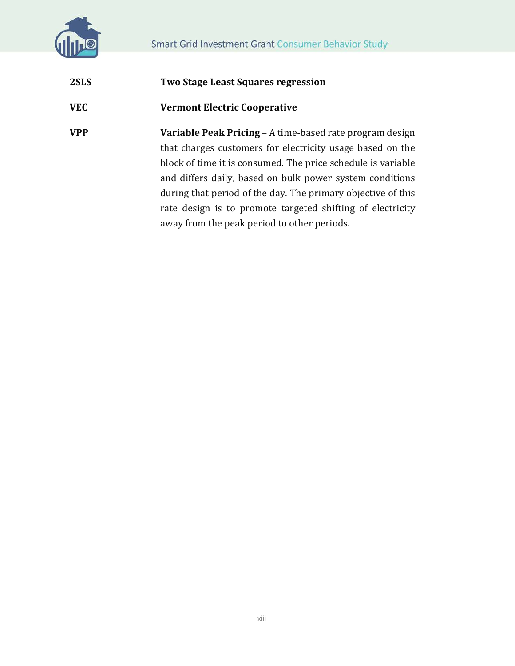

#### **2SLS Two Stage Least Squares regression**

**VEC Vermont Electric Cooperative**

**VPP Variable Peak Pricing** – A time-based rate program design that charges customers for electricity usage based on the block of time it is consumed. The price schedule is variable and differs daily, based on bulk power system conditions during that period of the day. The primary objective of this rate design is to promote targeted shifting of electricity away from the peak period to other periods.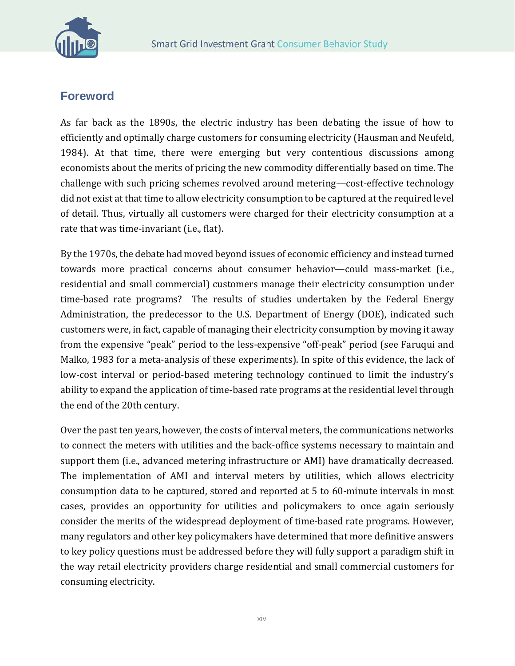

# **Foreword**

As far back as the 1890s, the electric industry has been debating the issue of how to efficiently and optimally charge customers for consuming electricity [\(Hausman and Neufeld,](#page-54-0)  [1984\)](#page-54-0). At that time, there were emerging but very contentious discussions among economists about the merits of pricing the new commodity differentially based on time. The challenge with such pricing schemes revolved around metering—cost-effective technology did not exist at that time to allow electricity consumption to be captured at the required level of detail. Thus, virtually all customers were charged for their electricity consumption at a rate that was time-invariant (i.e., flat).

By the 1970s, the debate had moved beyond issues of economic efficiency and instead turned towards more practical concerns about consumer behavior—could mass-market (i.e., residential and small commercial) customers manage their electricity consumption under time-based rate programs? The results of studies undertaken by the Federal Energy Administration, the predecessor to the U.S. Department of Energy (DOE), indicated such customers were, in fact, capable of managing their electricity consumption by moving it away from the expensive "peak" period to the less-expensive "off-peak" period [\(see Faruqui and](#page-54-1)  [Malko, 1983 for a meta-analysis of these experiments\)](#page-54-1). In spite of this evidence, the lack of low-cost interval or period-based metering technology continued to limit the industry's ability to expand the application of time-based rate programs at the residential level through the end of the 20th century.

Over the past ten years, however, the costs of interval meters, the communications networks to connect the meters with utilities and the back-office systems necessary to maintain and support them (i.e., advanced metering infrastructure or AMI) have dramatically decreased. The implementation of AMI and interval meters by utilities, which allows electricity consumption data to be captured, stored and reported at 5 to 60-minute intervals in most cases, provides an opportunity for utilities and policymakers to once again seriously consider the merits of the widespread deployment of time-based rate programs. However, many regulators and other key policymakers have determined that more definitive answers to key policy questions must be addressed before they will fully support a paradigm shift in the way retail electricity providers charge residential and small commercial customers for consuming electricity.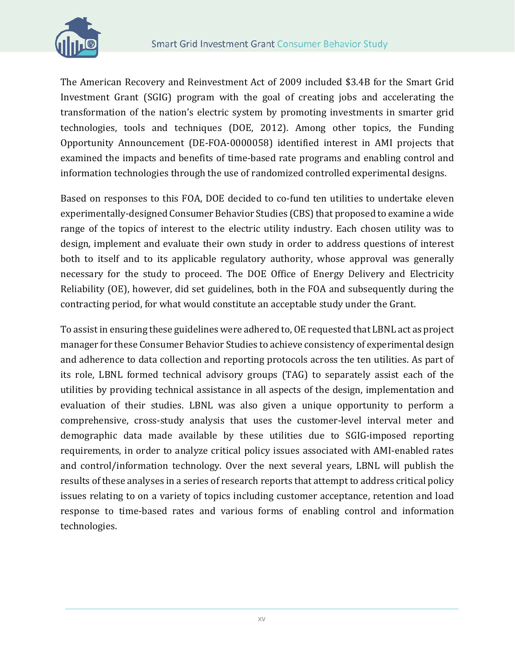

The American Recovery and Reinvestment Act of 2009 included \$3.4B for the Smart Grid Investment Grant (SGIG) program with the goal of creating jobs and accelerating the transformation of the nation's electric system by promoting investments in smarter grid technologies, tools and techniques [\(DOE, 2012\)](#page-54-2). Among other topics, the Funding Opportunity Announcement (DE-FOA-0000058) identified interest in AMI projects that examined the impacts and benefits of time-based rate programs and enabling control and information technologies through the use of randomized controlled experimental designs.

Based on responses to this FOA, DOE decided to co-fund ten utilities to undertake eleven experimentally-designed Consumer Behavior Studies (CBS) that proposed to examine a wide range of the topics of interest to the electric utility industry. Each chosen utility was to design, implement and evaluate their own study in order to address questions of interest both to itself and to its applicable regulatory authority, whose approval was generally necessary for the study to proceed. The DOE Office of Energy Delivery and Electricity Reliability (OE), however, did set guidelines, both in the FOA and subsequently during the contracting period, for what would constitute an acceptable study under the Grant.

To assist in ensuring these guidelines were adhered to, OE requested that LBNL act as project manager for these Consumer Behavior Studies to achieve consistency of experimental design and adherence to data collection and reporting protocols across the ten utilities. As part of its role, LBNL formed technical advisory groups (TAG) to separately assist each of the utilities by providing technical assistance in all aspects of the design, implementation and evaluation of their studies. LBNL was also given a unique opportunity to perform a comprehensive, cross-study analysis that uses the customer-level interval meter and demographic data made available by these utilities due to SGIG-imposed reporting requirements, in order to analyze critical policy issues associated with AMI-enabled rates and control/information technology. Over the next several years, LBNL will publish the results of these analyses in a series of research reports that attempt to address critical policy issues relating to on a variety of topics including customer acceptance, retention and load response to time-based rates and various forms of enabling control and information technologies.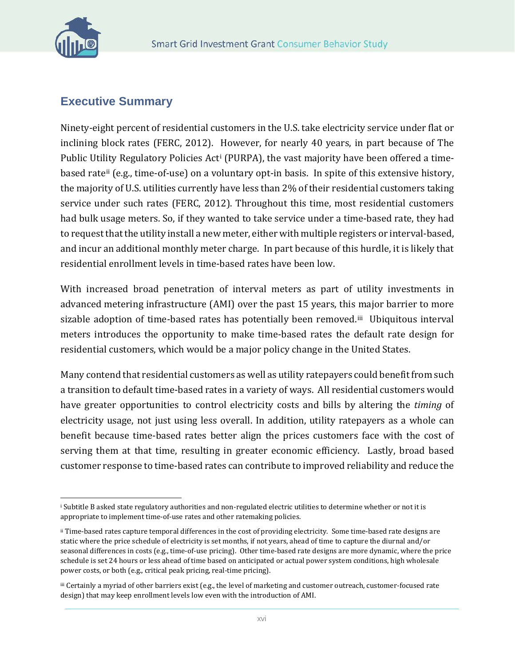

# **Executive Summary**

Ninety-eight percent of residential customers in the U.S. take electricity service under flat or inclining block rates [\(FERC,](#page-54-3) 2012). [H](#page-15-0)owever, for nearly 40 years, in part because of The Public Utility Regulatory Policies Act<sup>i</sup> (PURPA), the vast majority have been offered a timebased rate[ii](#page-15-1) (e.g., time-of-use) on a voluntary opt-in basis. In spite of this extensive history, the majority of U.S. utilities currently have less than 2% of their residential customers taking service under such rates [\(FERC, 2012\)](#page-54-3). Throughout this time, most residential customers had bulk usage meters. So, if they wanted to take service under a time-based rate, they had to request that the utility install a new meter, either with multiple registers or interval-based, and incur an additional monthly meter charge. In part because of this hurdle, it is likely that residential enrollment levels in time-based rates have been low.

With increased broad penetration of interval meters as part of utility investments in advanced metering infrastructure (AMI) over the past 15 years, this major barrier to more sizable adoption of time-based rates has potentially been removed.<sup>iii</sup> Ubiquitous interval meters introduces the opportunity to make time-based rates the default rate design for residential customers, which would be a major policy change in the United States.

Many contend that residential customers as well as utility ratepayers could benefit from such a transition to default time-based rates in a variety of ways. All residential customers would have greater opportunities to control electricity costs and bills by altering the *timing* of electricity usage, not just using less overall. In addition, utility ratepayers as a whole can benefit because time-based rates better align the prices customers face with the cost of serving them at that time, resulting in greater economic efficiency. Lastly, broad based customer response to time-based rates can contribute to improved reliability and reduce the

<span id="page-15-0"></span><sup>&</sup>lt;sup>i</sup> Subtitle B asked state regulatory authorities and non-regulated electric utilities to determine whether or not it is appropriate to implement time-of-use rates and other ratemaking policies.

<span id="page-15-1"></span>ii Time-based rates capture temporal differences in the cost of providing electricity. Some time-based rate designs are static where the price schedule of electricity is set months, if not years, ahead of time to capture the diurnal and/or seasonal differences in costs (e.g., time-of-use pricing). Other time-based rate designs are more dynamic, where the price schedule is set 24 hours or less ahead of time based on anticipated or actual power system conditions, high wholesale power costs, or both (e.g., critical peak pricing, real-time pricing).

<span id="page-15-2"></span>iii Certainly a myriad of other barriers exist (e.g., the level of marketing and customer outreach, customer-focused rate design) that may keep enrollment levels low even with the introduction of AMI.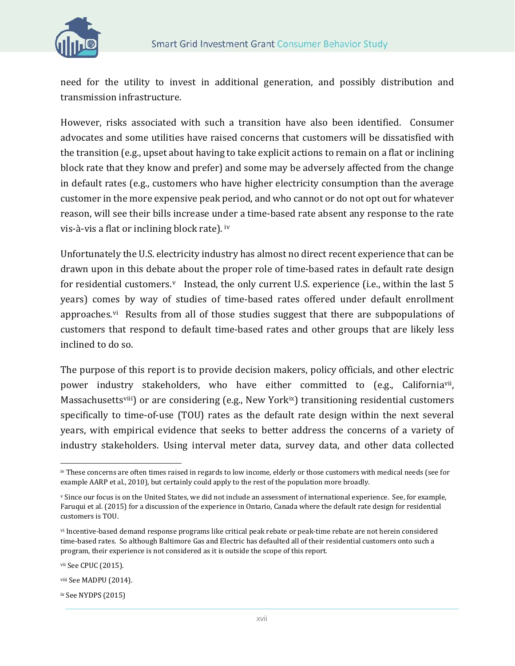

need for the utility to invest in additional generation, and possibly distribution and transmission infrastructure.

However, risks associated with such a transition have also been identified. Consumer advocates and some utilities have raised concerns that customers will be dissatisfied with the transition (e.g., upset about having to take explicit actions to remain on a flat or inclining block rate that they know and prefer) and some may be adversely affected from the change in default rates (e.g., customers who have higher electricity consumption than the average customer in the more expensive peak period, and who cannot or do not opt out for whatever reason, will see their bills increase under a time-based rate absent any response to the rate vis-à-vis a flat or inclining block rate). [iv](#page-16-0) 

Unfortunately the U.S. electricity industry has almost no direct recent experience that can be drawn upon in this debate about the proper role of time-based rates in default rate design for residential customers.<sup>[v](#page-16-1)</sup> Instead, the only current U.S. experience (i.e., within the last  $5$ years) comes by way of studies of time-based rates offered under default enrollment approaches.<sup>vi</sup> Results from all of those studies suggest that there are subpopulations of customers that respond to default time-based rates and other groups that are likely less inclined to do so.

The purpose of this report is to provide decision makers, policy officials, and other electric power indus[try](#page-16-4) stakeholders, who have eithe[r](#page-16-5) committed to (e.g., California[vii,](#page-16-3) Massachusetts<sup>viii</sup>) or are considering (e.g., New York<sup>ix</sup>) transitioning residential customers specifically to time-of-use (TOU) rates as the default rate design within the next several years, with empirical evidence that seeks to better address the concerns of a variety of industry stakeholders. Using interval meter data, survey data, and other data collected

<span id="page-16-0"></span>iv These concerns are often times raised in regards to low income, elderly or those customers with medical needs [\(see for](#page-54-4)  [example AARP et al., 2010\)](#page-54-4), but certainly could apply to the rest of the population more broadly.

<span id="page-16-1"></span><sup>v</sup> Since our focus is on the United States, we did not include an assessment of international experience. See, for example, Faruqui et al. [\(2015\)](#page-54-5) for a discussion of the experience in Ontario, Canada where the default rate design for residential customers is TOU.

<span id="page-16-2"></span>vi Incentive-based demand response programs like critical peak rebate or peak-time rebate are not herein considered time-based rates. So although Baltimore Gas and Electric has defaulted all of their residential customers onto such a program, their experience is not considered as it is outside the scope of this report.

<span id="page-16-3"></span>vii See CPUC [\(2015\)](#page-54-6).

<span id="page-16-4"></span>viii See MADPU [\(2014\)](#page-55-0).

<span id="page-16-5"></span>ix See NYDPS [\(2015\)](#page-55-1)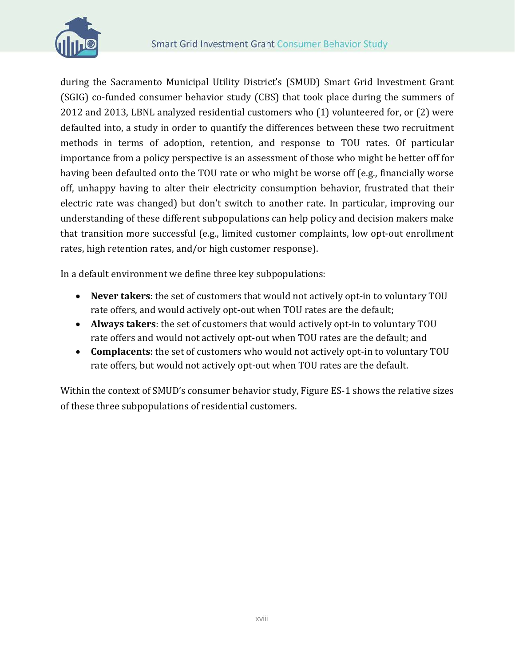

during the Sacramento Municipal Utility District's (SMUD) Smart Grid Investment Grant (SGIG) co-funded consumer behavior study (CBS) that took place during the summers of 2012 and 2013, LBNL analyzed residential customers who (1) volunteered for, or (2) were defaulted into, a study in order to quantify the differences between these two recruitment methods in terms of adoption, retention, and response to TOU rates. Of particular importance from a policy perspective is an assessment of those who might be better off for having been defaulted onto the TOU rate or who might be worse off (e.g., financially worse off, unhappy having to alter their electricity consumption behavior, frustrated that their electric rate was changed) but don't switch to another rate. In particular, improving our understanding of these different subpopulations can help policy and decision makers make that transition more successful (e.g., limited customer complaints, low opt-out enrollment rates, high retention rates, and/or high customer response).

In a default environment we define three key subpopulations:

- **Never takers**: the set of customers that would not actively opt-in to voluntary TOU rate offers, and would actively opt-out when TOU rates are the default;
- **Always takers**: the set of customers that would actively opt-in to voluntary TOU rate offers and would not actively opt-out when TOU rates are the default; and
- **Complacents**: the set of customers who would not actively opt-in to voluntary TOU rate offers, but would not actively opt-out when TOU rates are the default.

Within the context of SMUD's consumer behavior study, [Figure ES-1](#page-18-0) shows the relative sizes of these three subpopulations of residential customers.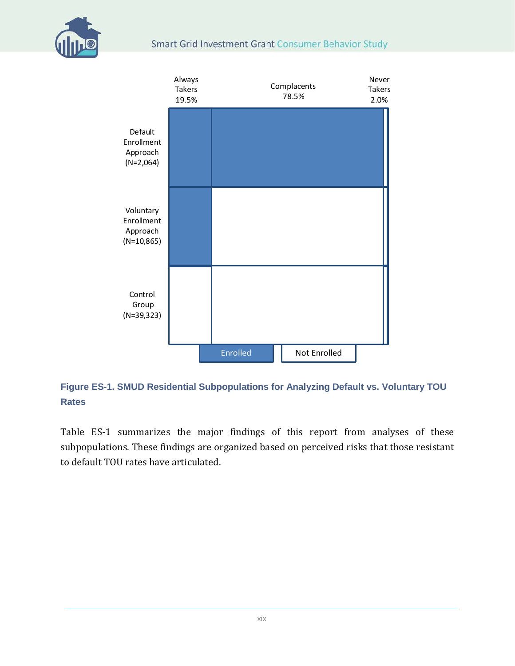



<span id="page-18-0"></span>**Figure ES-1. SMUD Residential Subpopulations for Analyzing Default vs. Voluntary TOU Rates**

[Table ES-1](#page-19-0) summarizes the major findings of this report from analyses of these subpopulations. These findings are organized based on perceived risks that those resistant to default TOU rates have articulated.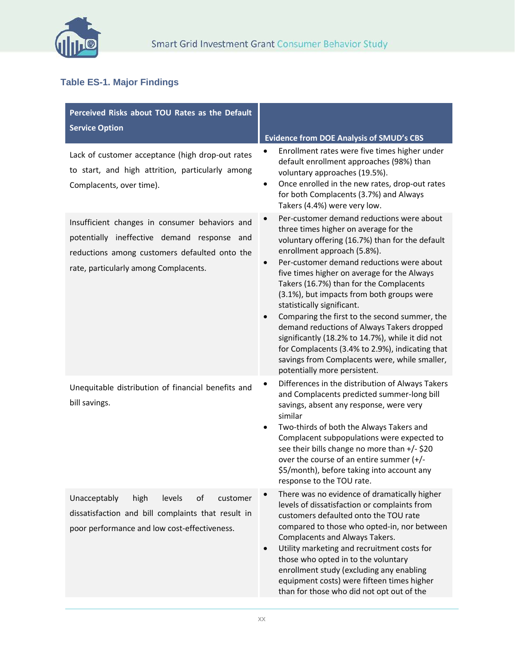

# <span id="page-19-0"></span>**Table ES-1. Major Findings**

| Perceived Risks about TOU Rates as the Default<br><b>Service Option</b>                                                                                                                 | <b>Evidence from DOE Analysis of SMUD's CBS</b>                                                                                                                                                                                                                                                                                                                                                                                                                                                                                                                                                                                                                                                         |
|-----------------------------------------------------------------------------------------------------------------------------------------------------------------------------------------|---------------------------------------------------------------------------------------------------------------------------------------------------------------------------------------------------------------------------------------------------------------------------------------------------------------------------------------------------------------------------------------------------------------------------------------------------------------------------------------------------------------------------------------------------------------------------------------------------------------------------------------------------------------------------------------------------------|
| Lack of customer acceptance (high drop-out rates<br>to start, and high attrition, particularly among<br>Complacents, over time).                                                        | Enrollment rates were five times higher under<br>default enrollment approaches (98%) than<br>voluntary approaches (19.5%).<br>Once enrolled in the new rates, drop-out rates<br>$\bullet$<br>for both Complacents (3.7%) and Always<br>Takers (4.4%) were very low.                                                                                                                                                                                                                                                                                                                                                                                                                                     |
| Insufficient changes in consumer behaviors and<br>potentially ineffective demand response and<br>reductions among customers defaulted onto the<br>rate, particularly among Complacents. | Per-customer demand reductions were about<br>$\bullet$<br>three times higher on average for the<br>voluntary offering (16.7%) than for the default<br>enrollment approach (5.8%).<br>Per-customer demand reductions were about<br>$\bullet$<br>five times higher on average for the Always<br>Takers (16.7%) than for the Complacents<br>(3.1%), but impacts from both groups were<br>statistically significant.<br>Comparing the first to the second summer, the<br>demand reductions of Always Takers dropped<br>significantly (18.2% to 14.7%), while it did not<br>for Complacents (3.4% to 2.9%), indicating that<br>savings from Complacents were, while smaller,<br>potentially more persistent. |
| Unequitable distribution of financial benefits and<br>bill savings.                                                                                                                     | Differences in the distribution of Always Takers<br>$\bullet$<br>and Complacents predicted summer-long bill<br>savings, absent any response, were very<br>similar<br>Two-thirds of both the Always Takers and<br>Complacent subpopulations were expected to<br>see their bills change no more than +/- \$20<br>over the course of an entire summer (+/-<br>\$5/month), before taking into account any<br>response to the TOU rate.                                                                                                                                                                                                                                                                      |
| Unacceptably<br>high<br>levels<br>of<br>customer<br>dissatisfaction and bill complaints that result in<br>poor performance and low cost-effectiveness.                                  | There was no evidence of dramatically higher<br>$\bullet$<br>levels of dissatisfaction or complaints from<br>customers defaulted onto the TOU rate<br>compared to those who opted-in, nor between<br>Complacents and Always Takers.<br>Utility marketing and recruitment costs for<br>$\bullet$<br>those who opted in to the voluntary<br>enrollment study (excluding any enabling<br>equipment costs) were fifteen times higher<br>than for those who did not opt out of the                                                                                                                                                                                                                           |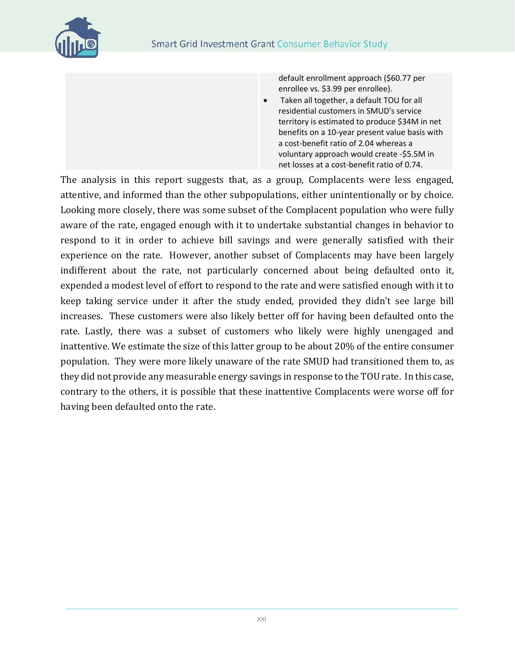

default enrollment approach (\$60.77 per enrollee vs. \$3.99 per enrollee).

• Taken all together, a default TOU for all residential customers in SMUD's service territory is estimated to produce \$34M in net benefits on a 10-year present value basis with a cost-benefit ratio of 2.04 whereas a voluntary approach would create -\$5.5M in net losses at a cost-benefit ratio of 0.74.

The analysis in this report suggests that, as a group, Complacents were less engaged, attentive, and informed than the other subpopulations, either unintentionally or by choice. Looking more closely, there was some subset of the Complacent population who were fully aware of the rate, engaged enough with it to undertake substantial changes in behavior to respond to it in order to achieve bill savings and were generally satisfied with their experience on the rate. However, another subset of Complacents may have been largely indifferent about the rate, not particularly concerned about being defaulted onto it, expended a modest level of effort to respond to the rate and were satisfied enough with it to keep taking service under it after the study ended, provided they didn't see large bill increases. These customers were also likely better off for having been defaulted onto the rate. Lastly, there was a subset of customers who likely were highly unengaged and inattentive. We estimate the size of this latter group to be about 20% of the entire consumer population. They were more likely unaware of the rate SMUD had transitioned them to, as they did not provide any measurable energy savings in response to the TOU rate. In this case, contrary to the others, it is possible that these inattentive Complacents were worse off for having been defaulted onto the rate.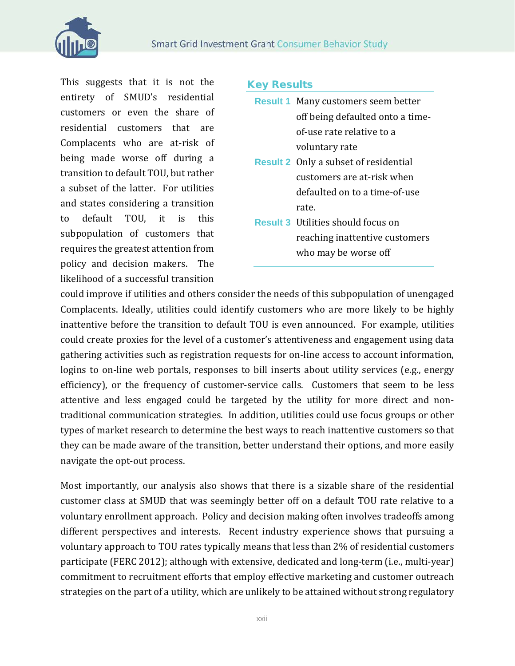

This suggests that it is not the entirety of SMUD's residential customers or even the share of residential customers that are Complacents who are at-risk of being made worse off during a transition to default TOU, but rather a subset of the latter. For utilities and states considering a transition to default TOU, it is this subpopulation of customers that requires the greatest attention from policy and decision makers. The likelihood of a successful transition

#### Key Results

|  | <b>Result 1</b> Many customers seem better   |
|--|----------------------------------------------|
|  | off being defaulted onto a time-             |
|  | of-use rate relative to a                    |
|  | voluntary rate                               |
|  | <b>Result 2</b> Only a subset of residential |
|  | customers are at-risk when                   |
|  | defaulted on to a time-of-use                |
|  | rate.                                        |
|  | <b>Result 3</b> Utilities should focus on    |
|  | reaching inattentive customers               |
|  | who may be worse off                         |
|  |                                              |

could improve if utilities and others consider the needs of this subpopulation of unengaged Complacents. Ideally, utilities could identify customers who are more likely to be highly inattentive before the transition to default TOU is even announced. For example, utilities could create proxies for the level of a customer's attentiveness and engagement using data gathering activities such as registration requests for on-line access to account information, logins to on-line web portals, responses to bill inserts about utility services (e.g., energy efficiency), or the frequency of customer-service calls. Customers that seem to be less attentive and less engaged could be targeted by the utility for more direct and nontraditional communication strategies. In addition, utilities could use focus groups or other types of market research to determine the best ways to reach inattentive customers so that they can be made aware of the transition, better understand their options, and more easily navigate the opt-out process.

Most importantly, our analysis also shows that there is a sizable share of the residential customer class at SMUD that was seemingly better off on a default TOU rate relative to a voluntary enrollment approach. Policy and decision making often involves tradeoffs among different perspectives and interests. Recent industry experience shows that pursuing a voluntary approach to TOU rates typically means that less than 2% of residential customers participate (FERC 2012); although with extensive, dedicated and long-term (i.e., multi-year) commitment to recruitment efforts that employ effective marketing and customer outreach strategies on the part of a utility, which are unlikely to be attained without strong regulatory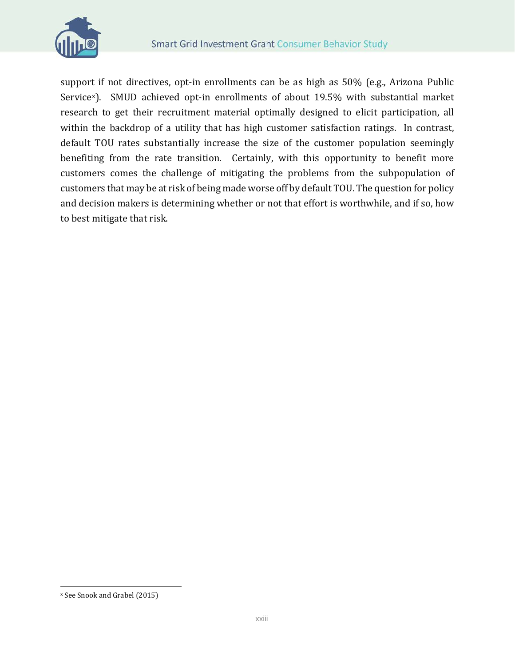

support if not directives, opt-in enrollments can be as high as 50% (e.g., Arizona Public Service[x\)](#page-22-0). SMUD achieved opt-in enrollments of about 19.5% with substantial market research to get their recruitment material optimally designed to elicit participation, all within the backdrop of a utility that has high customer satisfaction ratings. In contrast, default TOU rates substantially increase the size of the customer population seemingly benefiting from the rate transition. Certainly, with this opportunity to benefit more customers comes the challenge of mitigating the problems from the subpopulation of customers that may be at risk of being made worse off by default TOU. The question for policy and decision makers is determining whether or not that effort is worthwhile, and if so, how to best mitigate that risk.

<span id="page-22-0"></span>x See Snook and Grabel [\(2015\)](#page-55-2)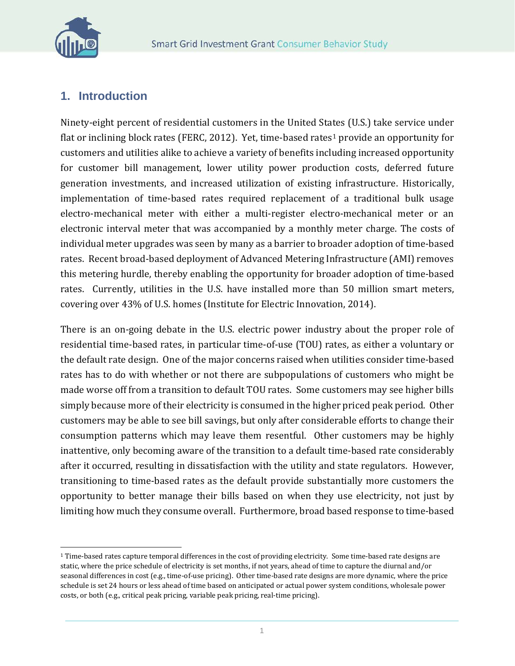

# **1. Introduction**

Ninety-eight percent of residential customers in the United States (U.S.) take service under flat or inclining block rates [\(FERC, 2012\)](#page-54-3). Yet, time-based rates<sup>[1](#page-23-0)</sup> provide an opportunity for customers and utilities alike to achieve a variety of benefits including increased opportunity for customer bill management, lower utility power production costs, deferred future generation investments, and increased utilization of existing infrastructure. Historically, implementation of time-based rates required replacement of a traditional bulk usage electro-mechanical meter with either a multi-register electro-mechanical meter or an electronic interval meter that was accompanied by a monthly meter charge. The costs of individual meter upgrades was seen by many as a barrier to broader adoption of time-based rates. Recent broad-based deployment of Advanced Metering Infrastructure (AMI) removes this metering hurdle, thereby enabling the opportunity for broader adoption of time-based rates. Currently, utilities in the U.S. have installed more than 50 million smart meters, covering over 43% of U.S. homes [\(Institute for Electric Innovation, 2014\)](#page-54-7).

There is an on-going debate in the U.S. electric power industry about the proper role of residential time-based rates, in particular time-of-use (TOU) rates, as either a voluntary or the default rate design. One of the major concerns raised when utilities consider time-based rates has to do with whether or not there are subpopulations of customers who might be made worse off from a transition to default TOU rates. Some customers may see higher bills simply because more of their electricity is consumed in the higher priced peak period. Other customers may be able to see bill savings, but only after considerable efforts to change their consumption patterns which may leave them resentful. Other customers may be highly inattentive, only becoming aware of the transition to a default time-based rate considerably after it occurred, resulting in dissatisfaction with the utility and state regulators. However, transitioning to time-based rates as the default provide substantially more customers the opportunity to better manage their bills based on when they use electricity, not just by limiting how much they consume overall. Furthermore, broad based response to time-based

<span id="page-23-0"></span> <sup>1</sup> Time-based rates capture temporal differences in the cost of providing electricity. Some time-based rate designs are static, where the price schedule of electricity is set months, if not years, ahead of time to capture the diurnal and/or seasonal differences in cost (e.g., time-of-use pricing). Other time-based rate designs are more dynamic, where the price schedule is set 24 hours or less ahead of time based on anticipated or actual power system conditions, wholesale power costs, or both (e.g., critical peak pricing, variable peak pricing, real-time pricing).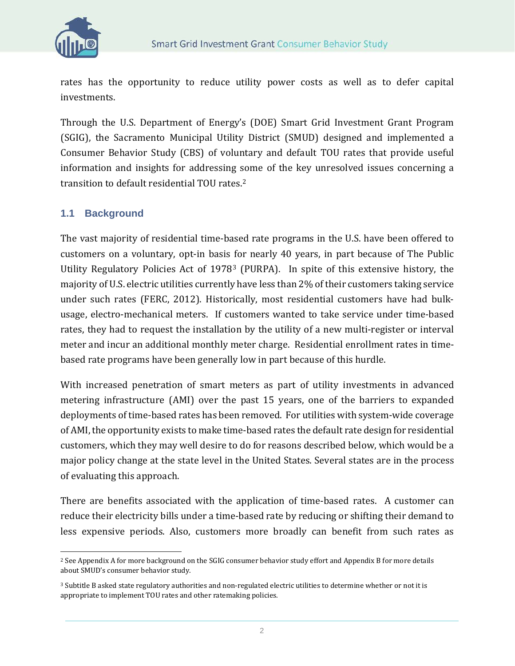

rates has the opportunity to reduce utility power costs as well as to defer capital investments.

Through the U.S. Department of Energy's (DOE) Smart Grid Investment Grant Program (SGIG), the Sacramento Municipal Utility District (SMUD) designed and implemented a Consumer Behavior Study (CBS) of voluntary and default TOU rates that provide useful information and insights for addressing some of the key unresolved issues concerning a transition to default residential TOU rates.[2](#page-24-0)

#### **1.1 Background**

The vast majority of residential time-based rate programs in the U.S. have been offered to customers on a voluntary, opt-in basis for nearly 40 years, in part because of The Public Utility Regulatory Policies Act of 1978[3](#page-24-1) (PURPA). In spite of this extensive history, the majority of U.S. electric utilities currently have less than 2% of their customers taking service under such rates [\(FERC, 2012\)](#page-54-3). Historically, most residential customers have had bulkusage, electro-mechanical meters. If customers wanted to take service under time-based rates, they had to request the installation by the utility of a new multi-register or interval meter and incur an additional monthly meter charge. Residential enrollment rates in timebased rate programs have been generally low in part because of this hurdle.

With increased penetration of smart meters as part of utility investments in advanced metering infrastructure (AMI) over the past 15 years, one of the barriers to expanded deployments of time-based rates has been removed. For utilities with system-wide coverage of AMI, the opportunity exists to make time-based rates the default rate design for residential customers, which they may well desire to do for reasons described below, which would be a major policy change at the state level in the United States. Several states are in the process of evaluating this approach.

There are benefits associated with the application of time-based rates. A customer can reduce their electricity bills under a time-based rate by reducing or shifting their demand to less expensive periods. Also, customers more broadly can benefit from such rates as

<span id="page-24-0"></span> <sup>2</sup> Se[e Appendix A](#page-55-3) for more background on the SGIG consumer behavior study effort an[d Appendix B](#page-60-0) for more details about SMUD's consumer behavior study.

<span id="page-24-1"></span><sup>&</sup>lt;sup>3</sup> Subtitle B asked state regulatory authorities and non-regulated electric utilities to determine whether or not it is appropriate to implement TOU rates and other ratemaking policies.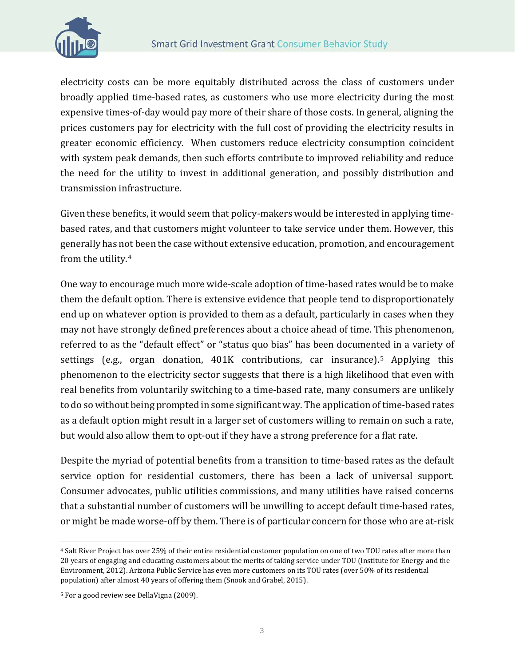

electricity costs can be more equitably distributed across the class of customers under broadly applied time-based rates, as customers who use more electricity during the most expensive times-of-day would pay more of their share of those costs. In general, aligning the prices customers pay for electricity with the full cost of providing the electricity results in greater economic efficiency. When customers reduce electricity consumption coincident with system peak demands, then such efforts contribute to improved reliability and reduce the need for the utility to invest in additional generation, and possibly distribution and transmission infrastructure.

Given these benefits, it would seem that policy-makers would be interested in applying timebased rates, and that customers might volunteer to take service under them. However, this generally has not been the case without extensive education, promotion, and encouragement from the utility.[4](#page-25-0) 

One way to encourage much more wide-scale adoption of time-based rates would be to make them the default option. There is extensive evidence that people tend to disproportionately end up on whatever option is provided to them as a default, particularly in cases when they may not have strongly defined preferences about a choice ahead of time. This phenomenon, referred to as the "default effect" or "status quo bias" has been documented in a variety of settings (e.g., organ donation, 401K contributions, car insurance).<sup>[5](#page-25-1)</sup> Applying this phenomenon to the electricity sector suggests that there is a high likelihood that even with real benefits from voluntarily switching to a time-based rate, many consumers are unlikely to do so without being prompted in some significant way. The application of time-based rates as a default option might result in a larger set of customers willing to remain on such a rate, but would also allow them to opt-out if they have a strong preference for a flat rate.

Despite the myriad of potential benefits from a transition to time-based rates as the default service option for residential customers, there has been a lack of universal support. Consumer advocates, public utilities commissions, and many utilities have raised concerns that a substantial number of customers will be unwilling to accept default time-based rates, or might be made worse-off by them. There is of particular concern for those who are at-risk

<span id="page-25-0"></span> <sup>4</sup> Salt River Project has over 25% of their entire residential customer population on one of two TOU rates after more than 20 years of engaging and educating customers about the merits of taking service under TOU [\(Institute for Energy and the](#page-54-8)  [Environment, 2012\)](#page-54-8). Arizona Public Service has even more customers on its TOU rates (over 50% of its residential population) after almost 40 years of offering them [\(Snook and Grabel, 2015\)](#page-55-2).

<span id="page-25-1"></span><sup>5</sup> For a good review see DellaVigna [\(2009\)](#page-54-9).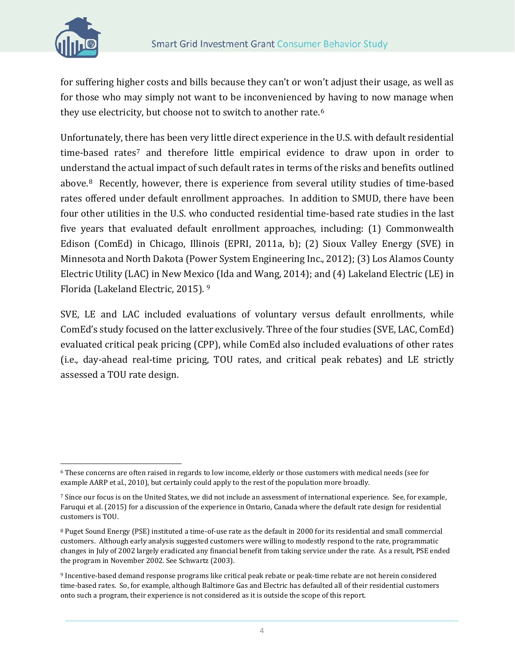

for suffering higher costs and bills because they can't or won't adjust their usage, as well as for those who may simply not want to be inconvenienced by having to now manage when they use electricity, but choose not to switch to another rate.<sup>6</sup>

Unfortunately, there has been very little direct experience in the U.S. with default residential time-based rates<sup>7</sup> and therefore little empirical evidence to draw upon in order to understand the actual impact of such default rates in terms of the risks and benefits outlined above.[8](#page-26-2) Recently, however, there is experience from several utility studies of time-based rates offered under default enrollment approaches. In addition to SMUD, there have been four other utilities in the U.S. who conducted residential time-based rate studies in the last five years that evaluated default enrollment approaches, including: (1) Commonwealth Edison (ComEd) in Chicago, Illinois [\(EPRI, 2011a,](#page-54-10) [b\)](#page-54-11); (2) Sioux Valley Energy (SVE) in Minnesota and North Dakota [\(Power System Engineering Inc., 2012\)](#page-55-4);(3) Los Alamos County Electric Utility (LAC) in New Mexi[co](#page-26-3) [\(Ida and Wang, 2014\)](#page-54-12); and (4) Lakeland Electric (LE) in Florida [\(Lakeland Electric, 2015\)](#page-54-13). <sup>9</sup>

SVE, LE and LAC included evaluations of voluntary versus default enrollments, while ComEd's study focused on the latter exclusively. Three of the four studies (SVE, LAC, ComEd) evaluated critical peak pricing (CPP), while ComEd also included evaluations of other rates (i.e., day-ahead real-time pricing, TOU rates, and critical peak rebates) and LE strictly assessed a TOU rate design.

<span id="page-26-0"></span> <sup>6</sup> These concerns are often raised in regards to low income, elderly or those customers with medical needs [\(see for](#page-54-4)  [example AARP et al., 2010\)](#page-54-4), but certainly could apply to the rest of the population more broadly.

<span id="page-26-1"></span><sup>7</sup> Since our focus is on the United States, we did not include an assessment of international experience. See, for example, Faruqui et al. [\(2015\)](#page-54-5) for a discussion of the experience in Ontario, Canada where the default rate design for residential customers is TOU.

<span id="page-26-2"></span><sup>8</sup> Puget Sound Energy (PSE) instituted a time-of-use rate as the default in 2000 for its residential and small commercial customers. Although early analysis suggested customers were willing to modestly respond to the rate, programmatic changes in July of 2002 largely eradicated any financial benefit from taking service under the rate. As a result, PSE ended the program in November 2002. See Schwartz [\(2003\)](#page-55-5).

<span id="page-26-3"></span><sup>9</sup> Incentive-based demand response programs like critical peak rebate or peak-time rebate are not herein considered time-based rates. So, for example, although Baltimore Gas and Electric has defaulted all of their residential customers onto such a program, their experience is not considered as it is outside the scope of this report.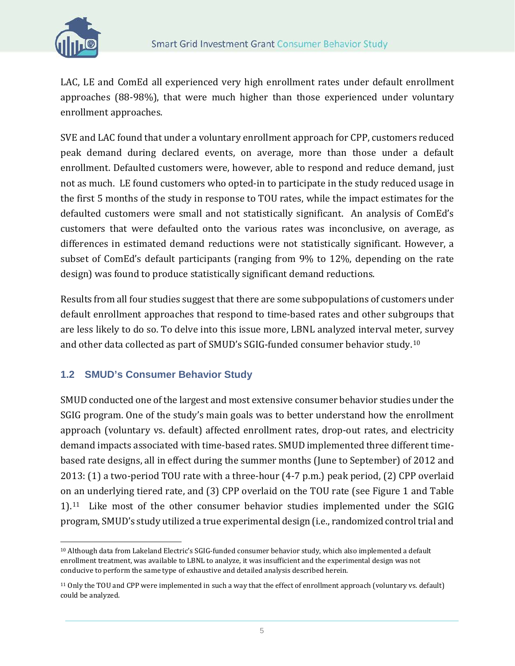

LAC, LE and ComEd all experienced very high enrollment rates under default enrollment approaches (88-98%), that were much higher than those experienced under voluntary enrollment approaches.

SVE and LAC found that under a voluntary enrollment approach for CPP, customers reduced peak demand during declared events, on average, more than those under a default enrollment. Defaulted customers were, however, able to respond and reduce demand, just not as much. LE found customers who opted-in to participate in the study reduced usage in the first 5 months of the study in response to TOU rates, while the impact estimates for the defaulted customers were small and not statistically significant. An analysis of ComEd's customers that were defaulted onto the various rates was inconclusive, on average, as differences in estimated demand reductions were not statistically significant. However, a subset of ComEd's default participants (ranging from 9% to 12%, depending on the rate design) was found to produce statistically significant demand reductions.

Results from all four studies suggest that there are some subpopulations of customers under default enrollment approaches that respond to time-based rates and other subgroups that are less likely to do so. To delve into this issue more, LBNL analyzed interval meter, survey and other data collected as part of SMUD's SGIG-funded consumer behavior study.[10](#page-27-0)

#### **1.2 SMUD's Consumer Behavior Study**

SMUD conducted one of the largest and most extensive consumer behavior studies under the SGIG program. One of the study's main goals was to better understand how the enrollment approach (voluntary vs. default) affected enrollment rates, drop-out rates, and electricity demand impacts associated with time-based rates. SMUD implemented three different timebased rate designs, all in effect during the summer months (June to September) of 2012 and 2013: (1) a two-period TOU rate with a three-hour (4-7 p.m.) peak period, (2) CPP overlaid on an underlying tiered rate, and (3) CPP overlaid on the TOU rate (see [Figure 1](#page-28-0) and [Table](#page-29-0)  [1\)](#page-29-0).[11](#page-27-1) Like most of the other consumer behavior studies implemented under the SGIG program, SMUD's study utilized a true experimental design (i.e., randomized control trial and

<span id="page-27-0"></span> <sup>10</sup> Although data from Lakeland Electric's SGIG-funded consumer behavior study, which also implemented a default enrollment treatment, was available to LBNL to analyze, it was insufficient and the experimental design was not conducive to perform the same type of exhaustive and detailed analysis described herein.

<span id="page-27-1"></span><sup>11</sup> Only the TOU and CPP were implemented in such a way that the effect of enrollment approach (voluntary vs. default) could be analyzed.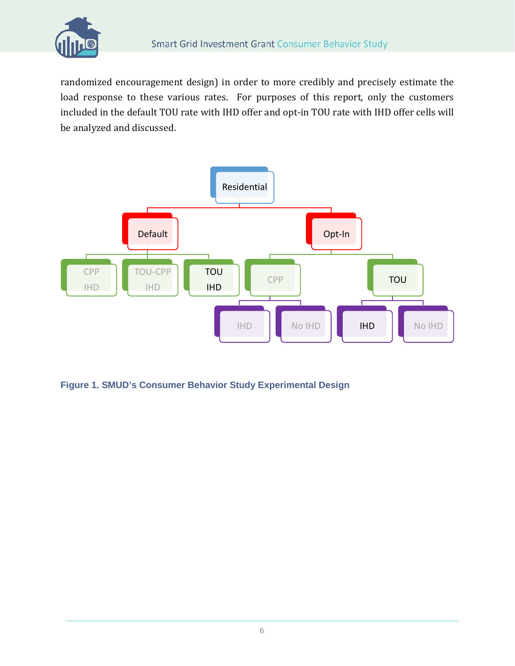

randomized encouragement design) in order to more credibly and precisely estimate the load response to these various rates. For purposes of this report, only the customers included in the default TOU rate with IHD offer and opt-in TOU rate with IHD offer cells will be analyzed and discussed.



<span id="page-28-0"></span>**Figure 1. SMUD's Consumer Behavior Study Experimental Design**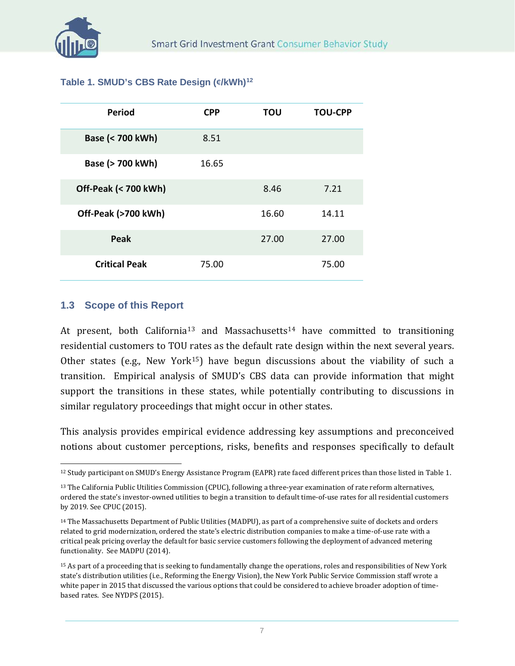

| <b>Period</b>                  | <b>CPP</b> | <b>TOU</b> | <b>TOU-CPP</b> |
|--------------------------------|------------|------------|----------------|
| Base (< 700 kWh)               | 8.51       |            |                |
| Base (> 700 kWh)               | 16.65      |            |                |
| <b>Off-Peak (&lt; 700 kWh)</b> |            | 8.46       | 7.21           |
| Off-Peak (>700 kWh)            |            | 16.60      | 14.11          |
| Peak                           |            | 27.00      | 27.00          |
| <b>Critical Peak</b>           | 75.00      |            | 75.00          |

#### <span id="page-29-0"></span>**Table 1. SMUD's CBS Rate Design (¢/kWh)[12](#page-29-1)**

#### **1.3 Scope of this Report**

At present, both California<sup>[13](#page-29-2)</sup> and Massachusetts<sup>[14](#page-29-3)</sup> have committed to transitioning residential customers to TOU rates as the default rate design within the next several years. Other states (e.g., New York[15](#page-29-4)) have begun discussions about the viability of such a transition. Empirical analysis of SMUD's CBS data can provide information that might support the transitions in these states, while potentially contributing to discussions in similar regulatory proceedings that might occur in other states.

This analysis provides empirical evidence addressing key assumptions and preconceived notions about customer perceptions, risks, benefits and responses specifically to default

<span id="page-29-1"></span> <sup>12</sup> Study participant on SMUD's Energy Assistance Program (EAPR) rate faced different prices than those listed i[n Table 1.](#page-29-0)

<span id="page-29-2"></span><sup>&</sup>lt;sup>13</sup> The California Public Utilities Commission (CPUC), following a three-year examination of rate reform alternatives, ordered the state's investor-owned utilities to begin a transition to default time-of-use rates for all residential customers by 2019. See CPUC [\(2015\)](#page-54-6).

<span id="page-29-3"></span><sup>14</sup> The Massachusetts Department of Public Utilities (MADPU), as part of a comprehensive suite of dockets and orders related to grid modernization, ordered the state's electric distribution companies to make a time-of-use rate with a critical peak pricing overlay the default for basic service customers following the deployment of advanced metering functionality. See MADPU [\(2014\)](#page-55-0).

<span id="page-29-4"></span><sup>15</sup> As part of a proceeding that is seeking to fundamentally change the operations, roles and responsibilities of New York state's distribution utilities (i.e., Reforming the Energy Vision), the New York Public Service Commission staff wrote a white paper in 2015 that discussed the various options that could be considered to achieve broader adoption of timebased rates. See NYDPS [\(2015\)](#page-55-1).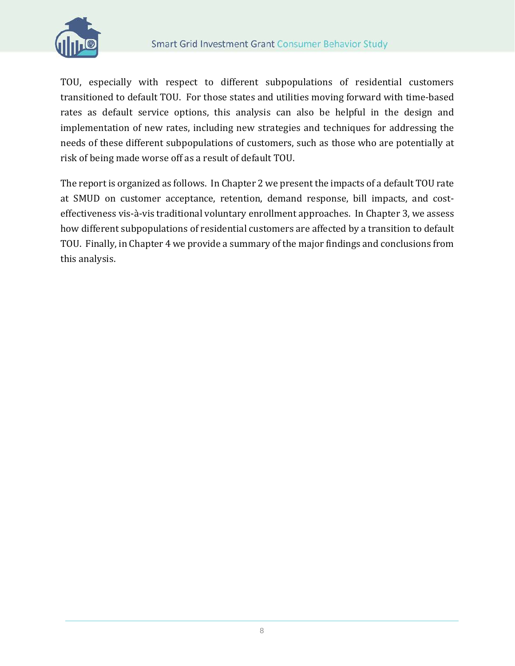

TOU, especially with respect to different subpopulations of residential customers transitioned to default TOU. For those states and utilities moving forward with time-based rates as default service options, this analysis can also be helpful in the design and implementation of new rates, including new strategies and techniques for addressing the needs of these different subpopulations of customers, such as those who are potentially at risk of being made worse off as a result of default TOU.

The report is organized as follows. In Chapter 2 we present the impacts of a default TOU rate at SMUD on customer acceptance, retention, demand response, bill impacts, and costeffectiveness vis-à-vis traditional voluntary enrollment approaches. In Chapter 3, we assess how different subpopulations of residential customers are affected by a transition to default TOU. Finally, in Chapter 4 we provide a summary of the major findings and conclusions from this analysis.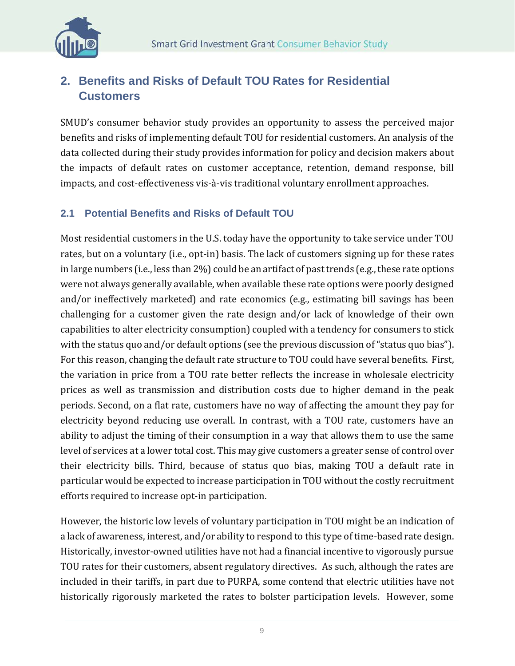# **2. Benefits and Risks of Default TOU Rates for Residential Customers**

SMUD's consumer behavior study provides an opportunity to assess the perceived major benefits and risks of implementing default TOU for residential customers. An analysis of the data collected during their study provides information for policy and decision makers about the impacts of default rates on customer acceptance, retention, demand response, bill impacts, and cost-effectiveness vis-à-vis traditional voluntary enrollment approaches.

#### **2.1 Potential Benefits and Risks of Default TOU**

Most residential customers in the U.S. today have the opportunity to take service under TOU rates, but on a voluntary (i.e., opt-in) basis. The lack of customers signing up for these rates in large numbers (i.e., less than 2%) could be an artifact of past trends (e.g., these rate options were not always generally available, when available these rate options were poorly designed and/or ineffectively marketed) and rate economics (e.g., estimating bill savings has been challenging for a customer given the rate design and/or lack of knowledge of their own capabilities to alter electricity consumption) coupled with a tendency for consumers to stick with the status quo and/or default options (see the previous discussion of "status quo bias"). For this reason, changing the default rate structure to TOU could have several benefits. First, the variation in price from a TOU rate better reflects the increase in wholesale electricity prices as well as transmission and distribution costs due to higher demand in the peak periods. Second, on a flat rate, customers have no way of affecting the amount they pay for electricity beyond reducing use overall. In contrast, with a TOU rate, customers have an ability to adjust the timing of their consumption in a way that allows them to use the same level of services at a lower total cost. This may give customers a greater sense of control over their electricity bills. Third, because of status quo bias, making TOU a default rate in particular would be expected to increase participation in TOU without the costly recruitment efforts required to increase opt-in participation.

However, the historic low levels of voluntary participation in TOU might be an indication of a lack of awareness, interest, and/or ability to respond to this type of time-based rate design. Historically, investor-owned utilities have not had a financial incentive to vigorously pursue TOU rates for their customers, absent regulatory directives. As such, although the rates are included in their tariffs, in part due to PURPA, some contend that electric utilities have not historically rigorously marketed the rates to bolster participation levels. However, some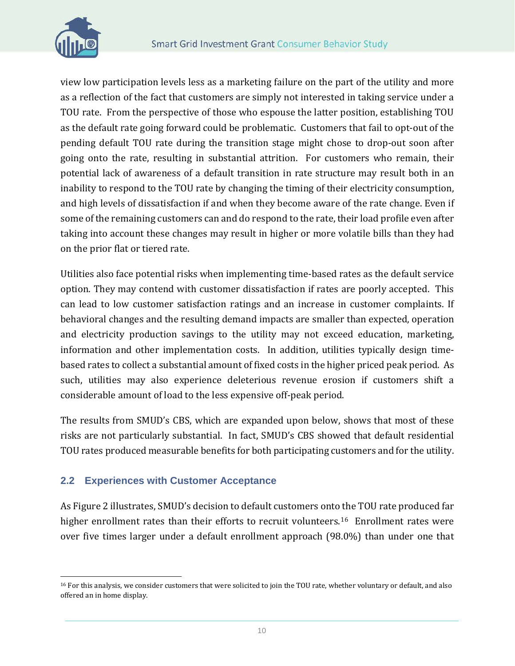

view low participation levels less as a marketing failure on the part of the utility and more as a reflection of the fact that customers are simply not interested in taking service under a TOU rate. From the perspective of those who espouse the latter position, establishing TOU as the default rate going forward could be problematic. Customers that fail to opt-out of the pending default TOU rate during the transition stage might chose to drop-out soon after going onto the rate, resulting in substantial attrition. For customers who remain, their potential lack of awareness of a default transition in rate structure may result both in an inability to respond to the TOU rate by changing the timing of their electricity consumption, and high levels of dissatisfaction if and when they become aware of the rate change. Even if some of the remaining customers can and do respond to the rate, their load profile even after taking into account these changes may result in higher or more volatile bills than they had on the prior flat or tiered rate.

Utilities also face potential risks when implementing time-based rates as the default service option. They may contend with customer dissatisfaction if rates are poorly accepted. This can lead to low customer satisfaction ratings and an increase in customer complaints. If behavioral changes and the resulting demand impacts are smaller than expected, operation and electricity production savings to the utility may not exceed education, marketing, information and other implementation costs. In addition, utilities typically design timebased rates to collect a substantial amount of fixed costs in the higher priced peak period. As such, utilities may also experience deleterious revenue erosion if customers shift a considerable amount of load to the less expensive off-peak period.

The results from SMUD's CBS, which are expanded upon below, shows that most of these risks are not particularly substantial. In fact, SMUD's CBS showed that default residential TOU rates produced measurable benefits for both participating customers and for the utility.

#### **2.2 Experiences with Customer Acceptance**

As [Figure 2](#page-33-0) illustrates, SMUD's decision to default customers onto the TOU rate produced far higher enrollment rates than their efforts to recruit volunteers.<sup>[16](#page-32-0)</sup> Enrollment rates were over five times larger under a default enrollment approach (98.0%) than under one that

<span id="page-32-0"></span> <sup>16</sup> For this analysis, we consider customers that were solicited to join the TOU rate, whether voluntary or default, and also offered an in home display.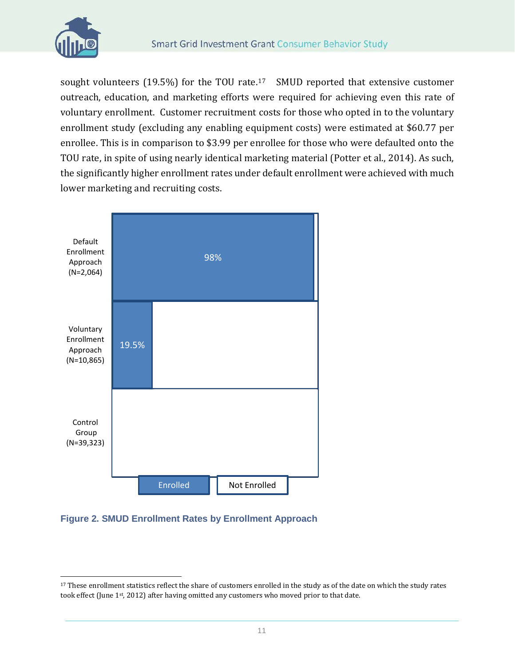

sought volunteers (19.5%) for the TOU rate.[17](#page-33-1) SMUD reported that extensive customer outreach, education, and marketing efforts were required for achieving even this rate of voluntary enrollment. Customer recruitment costs for those who opted in to the voluntary enrollment study (excluding any enabling equipment costs) were estimated at \$60.77 per enrollee. This is in comparison to \$3.99 per enrollee for those who were defaulted onto the TOU rate, in spite of using nearly identical marketing material (Potter et al., 2014). As such, the significantly higher enrollment rates under default enrollment were achieved with much lower marketing and recruiting costs.



#### <span id="page-33-0"></span>**Figure 2. SMUD Enrollment Rates by Enrollment Approach**

<span id="page-33-1"></span><sup>&</sup>lt;sup>17</sup> These enrollment statistics reflect the share of customers enrolled in the study as of the date on which the study rates took effect (June 1st, 2012) after having omitted any customers who moved prior to that date.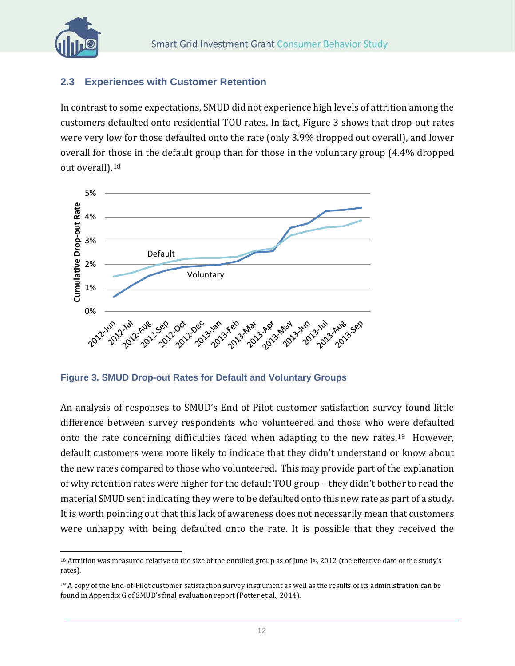

#### **2.3 Experiences with Customer Retention**

In contrast to some expectations, SMUD did not experience high levels of attrition among the customers defaulted onto residential TOU rates. In fact, [Figure 3](#page-34-0) shows that drop-out rates were very low for those defaulted onto the rate (only 3.9% dropped out overall), and lower overall for those in the default group than for those in the voluntary group (4.4% dropped out overall).[18](#page-34-1) 



<span id="page-34-0"></span>**Figure 3. SMUD Drop-out Rates for Default and Voluntary Groups**

An analysis of responses to SMUD's End-of-Pilot customer satisfaction survey found little difference between survey respondents who volunteered and those who were defaulted onto the rate concerning difficulties faced when adapting to the new rates.[19](#page-34-2) However, default customers were more likely to indicate that they didn't understand or know about the new rates compared to those who volunteered. This may provide part of the explanation of why retention rates were higher for the default TOU group – they didn't bother to read the material SMUD sent indicating they were to be defaulted onto this new rate as part of a study. It is worth pointing out that this lack of awareness does not necessarily mean that customers were unhappy with being defaulted onto the rate. It is possible that they received the

<span id="page-34-1"></span><sup>&</sup>lt;sup>18</sup> Attrition was measured relative to the size of the enrolled group as of June  $1<sup>st</sup>$ , 2012 (the effective date of the study's rates).

<span id="page-34-2"></span> $19$  A copy of the End-of-Pilot customer satisfaction survey instrument as well as the results of its administration can be found in Appendix G of SMUD's final evaluation report [\(Potter et al., 2014\)](#page-55-6).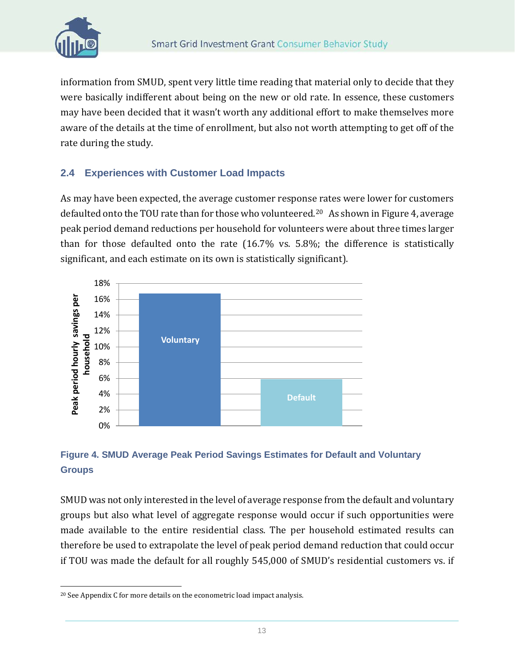

information from SMUD, spent very little time reading that material only to decide that they were basically indifferent about being on the new or old rate. In essence, these customers may have been decided that it wasn't worth any additional effort to make themselves more aware of the details at the time of enrollment, but also not worth attempting to get off of the rate during the study.

#### **2.4 Experiences with Customer Load Impacts**

As may have been expected, the average customer response rates were lower for customers defaulted onto the TOU rate than for those who volunteered.[20](#page-35-1) As shown in [Figure 4,](#page-35-0) average peak period demand reductions per household for volunteers were about three times larger than for those defaulted onto the rate (16.7% vs. 5.8%; the difference is statistically significant, and each estimate on its own is statistically significant).



# <span id="page-35-0"></span>**Figure 4. SMUD Average Peak Period Savings Estimates for Default and Voluntary Groups**

SMUD was not only interested in the level of average response from the default and voluntary groups but also what level of aggregate response would occur if such opportunities were made available to the entire residential class. The per household estimated results can therefore be used to extrapolate the level of peak period demand reduction that could occur if TOU was made the default for all roughly 545,000 of SMUD's residential customers vs. if

<span id="page-35-1"></span> <sup>20</sup> Se[e Appendix C](#page-64-0) for more details on the econometric load impact analysis.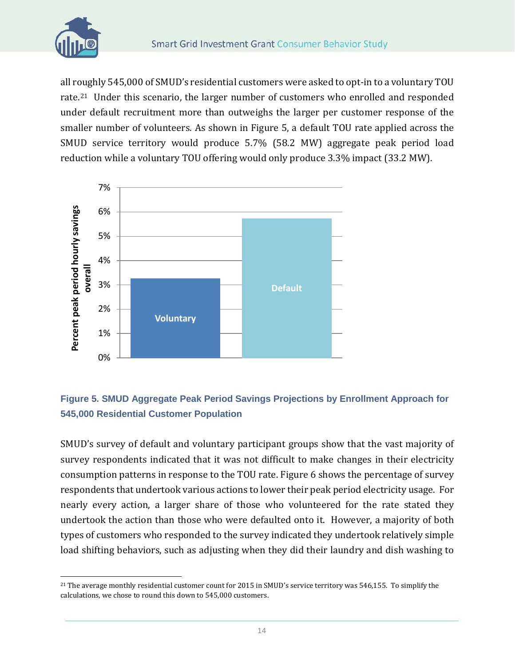

all roughly 545,000 of SMUD's residential customers were asked to opt-in to a voluntary TOU rate.[21](#page-36-1) Under this scenario, the larger number of customers who enrolled and responded under default recruitment more than outweighs the larger per customer response of the smaller number of volunteers. As shown in [Figure 5,](#page-36-0) a default TOU rate applied across the SMUD service territory would produce 5.7% (58.2 MW) aggregate peak period load reduction while a voluntary TOU offering would only produce 3.3% impact (33.2 MW).



## <span id="page-36-0"></span>**Figure 5. SMUD Aggregate Peak Period Savings Projections by Enrollment Approach for 545,000 Residential Customer Population**

SMUD's survey of default and voluntary participant groups show that the vast majority of survey respondents indicated that it was not difficult to make changes in their electricity consumption patterns in response to the TOU rate. [Figure 6](#page-37-0) shows the percentage of survey respondents that undertook various actions to lower their peak period electricity usage. For nearly every action, a larger share of those who volunteered for the rate stated they undertook the action than those who were defaulted onto it. However, a majority of both types of customers who responded to the survey indicated they undertook relatively simple load shifting behaviors, such as adjusting when they did their laundry and dish washing to

<span id="page-36-1"></span> <sup>21</sup> The average monthly residential customer count for 2015 in SMUD's service territory was 546,155. To simplify the calculations, we chose to round this down to 545,000 customers.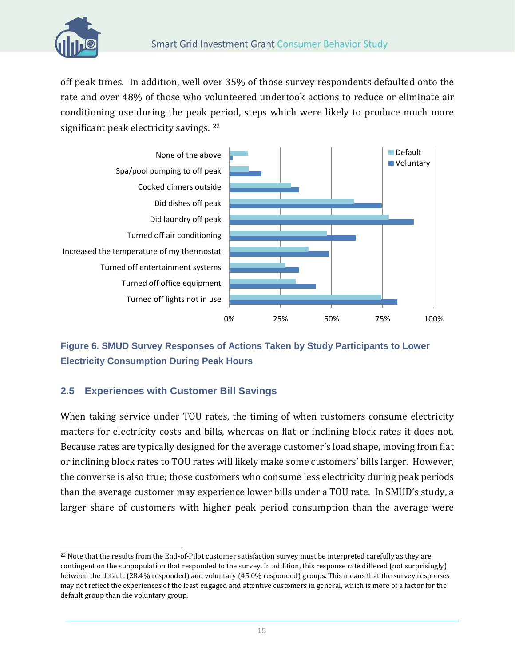

off peak times. In addition, well over 35% of those survey respondents defaulted onto the rate and over 48% of those who volunteered undertook actions to reduce or eliminate air conditioning use during the peak [pe](#page-37-1)riod, steps which were likely to produce much more significant peak electricity savings. <sup>22</sup>



<span id="page-37-0"></span>**Figure 6. SMUD Survey Responses of Actions Taken by Study Participants to Lower Electricity Consumption During Peak Hours**

#### **2.5 Experiences with Customer Bill Savings**

When taking service under TOU rates, the timing of when customers consume electricity matters for electricity costs and bills, whereas on flat or inclining block rates it does not. Because rates are typically designed for the average customer's load shape, moving from flat or inclining block rates to TOU rates will likely make some customers' bills larger. However, the converse is also true; those customers who consume less electricity during peak periods than the average customer may experience lower bills under a TOU rate. In SMUD's study, a larger share of customers with higher peak period consumption than the average were

<span id="page-37-1"></span><sup>&</sup>lt;sup>22</sup> Note that the results from the End-of-Pilot customer satisfaction survey must be interpreted carefully as they are contingent on the subpopulation that responded to the survey. In addition, this response rate differed (not surprisingly) between the default (28.4% responded) and voluntary (45.0% responded) groups. This means that the survey responses may not reflect the experiences of the least engaged and attentive customers in general, which is more of a factor for the default group than the voluntary group.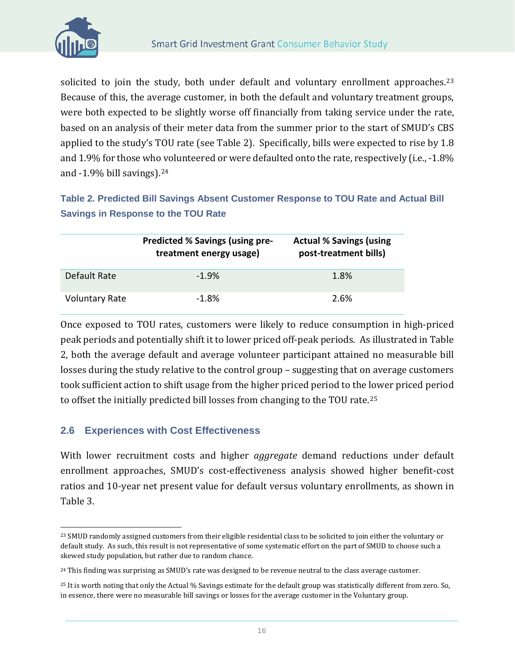

solicited to join the study, both under default and voluntary enrollment approaches.<sup>[23](#page-38-1)</sup> Because of this, the average customer, in both the default and voluntary treatment groups, were both expected to be slightly worse off financially from taking service under the rate, based on an analysis of their meter data from the summer prior to the start of SMUD's CBS applied to the study's TOU rate (see [Table 2\)](#page-38-0). Specifically, bills were expected to rise by 1.8 and 1.9% for those who volunteered or were defaulted onto the rate, respectively (i.e., -1.8% and  $-1.9\%$  bill savings).<sup>[24](#page-38-2)</sup>

<span id="page-38-0"></span>**Table 2. Predicted Bill Savings Absent Customer Response to TOU Rate and Actual Bill Savings in Response to the TOU Rate**

|                       | <b>Predicted % Savings (using pre-</b><br>treatment energy usage) | <b>Actual % Savings (using</b><br>post-treatment bills) |
|-----------------------|-------------------------------------------------------------------|---------------------------------------------------------|
| Default Rate          | $-1.9\%$                                                          | 1.8%                                                    |
| <b>Voluntary Rate</b> | -1.8%                                                             | 2.6%                                                    |

Once exposed to TOU rates, customers were likely to reduce consumption in high-priced peak periods and potentially shift it to lower priced off-peak periods. As illustrated in [Table](#page-38-0)  [2,](#page-38-0) both the average default and average volunteer participant attained no measurable bill losses during the study relative to the control group – suggesting that on average customers took sufficient action to shift usage from the higher priced period to the lower priced period to offset the initially predicted bill losses from changing to the TOU rate. [25](#page-38-3)

#### **2.6 Experiences with Cost Effectiveness**

With lower recruitment costs and higher *aggregate* demand reductions under default enrollment approaches, SMUD's cost-effectiveness analysis showed higher benefit-cost ratios and 10-year net present value for default versus voluntary enrollments, as shown in [Table 3.](#page-39-0)

<span id="page-38-1"></span><sup>&</sup>lt;sup>23</sup> SMUD randomly assigned customers from their eligible residential class to be solicited to join either the voluntary or default study. As such, this result is not representative of some systematic effort on the part of SMUD to choose such a skewed study population, but rather due to random chance.

<span id="page-38-2"></span><sup>&</sup>lt;sup>24</sup> This finding was surprising as SMUD's rate was designed to be revenue neutral to the class average customer.

<span id="page-38-3"></span><sup>&</sup>lt;sup>25</sup> It is worth noting that only the Actual % Savings estimate for the default group was statistically different from zero. So, in essence, there were no measurable bill savings or losses for the average customer in the Voluntary group.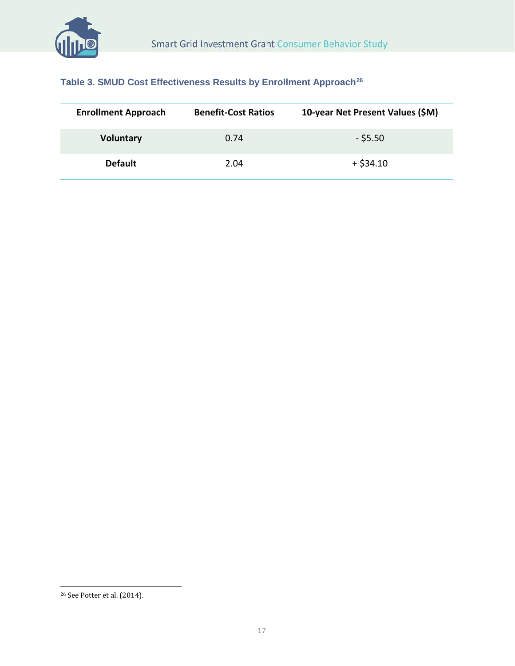

#### <span id="page-39-0"></span>**Table 3. SMUD Cost Effectiveness Results by Enrollment Approach[26](#page-39-1)**

| <b>Enrollment Approach</b> | <b>Benefit-Cost Ratios</b> | 10-year Net Present Values (\$M) |
|----------------------------|----------------------------|----------------------------------|
| <b>Voluntary</b>           | 0.74                       | $-$ \$5.50                       |
| <b>Default</b>             | 2.04                       | $+$ \$34.10                      |

<span id="page-39-1"></span> <sup>26</sup> See Potter et al. [\(2014\)](#page-55-0).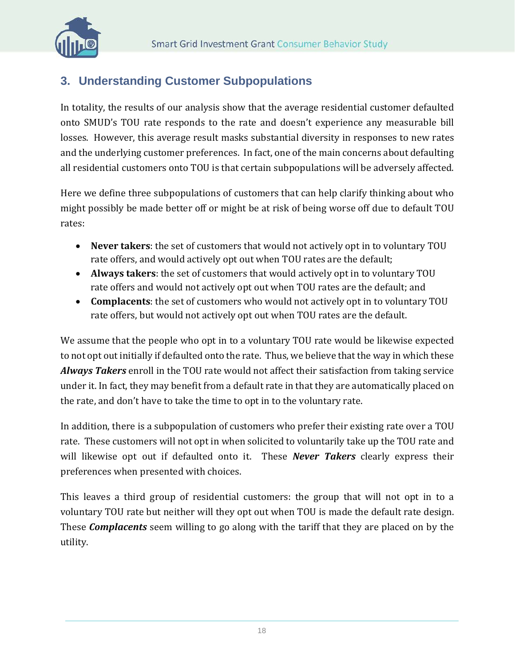

## **3. Understanding Customer Subpopulations**

In totality, the results of our analysis show that the average residential customer defaulted onto SMUD's TOU rate responds to the rate and doesn't experience any measurable bill losses. However, this average result masks substantial diversity in responses to new rates and the underlying customer preferences. In fact, one of the main concerns about defaulting all residential customers onto TOU is that certain subpopulations will be adversely affected.

Here we define three subpopulations of customers that can help clarify thinking about who might possibly be made better off or might be at risk of being worse off due to default TOU rates:

- **Never takers**: the set of customers that would not actively opt in to voluntary TOU rate offers, and would actively opt out when TOU rates are the default;
- **Always takers**: the set of customers that would actively opt in to voluntary TOU rate offers and would not actively opt out when TOU rates are the default; and
- **Complacents**: the set of customers who would not actively opt in to voluntary TOU rate offers, but would not actively opt out when TOU rates are the default.

We assume that the people who opt in to a voluntary TOU rate would be likewise expected to not opt out initially if defaulted onto the rate. Thus, we believe that the way in which these *Always Takers* enroll in the TOU rate would not affect their satisfaction from taking service under it. In fact, they may benefit from a default rate in that they are automatically placed on the rate, and don't have to take the time to opt in to the voluntary rate.

In addition, there is a subpopulation of customers who prefer their existing rate over a TOU rate. These customers will not opt in when solicited to voluntarily take up the TOU rate and will likewise opt out if defaulted onto it. These *Never Takers* clearly express their preferences when presented with choices.

This leaves a third group of residential customers: the group that will not opt in to a voluntary TOU rate but neither will they opt out when TOU is made the default rate design. These *Complacents* seem willing to go along with the tariff that they are placed on by the utility.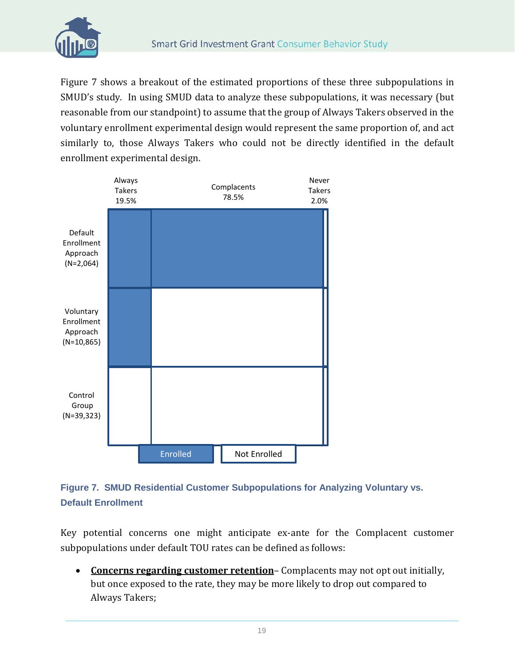

[Figure 7](#page-41-0) shows a breakout of the estimated proportions of these three subpopulations in SMUD's study. In using SMUD data to analyze these subpopulations, it was necessary (but reasonable from our standpoint) to assume that the group of Always Takers observed in the voluntary enrollment experimental design would represent the same proportion of, and act similarly to, those Always Takers who could not be directly identified in the default enrollment experimental design.



<span id="page-41-0"></span>

Key potential concerns one might anticipate ex-ante for the Complacent customer subpopulations under default TOU rates can be defined as follows:

• **Concerns regarding customer retention**– Complacents may not opt out initially, but once exposed to the rate, they may be more likely to drop out compared to Always Takers;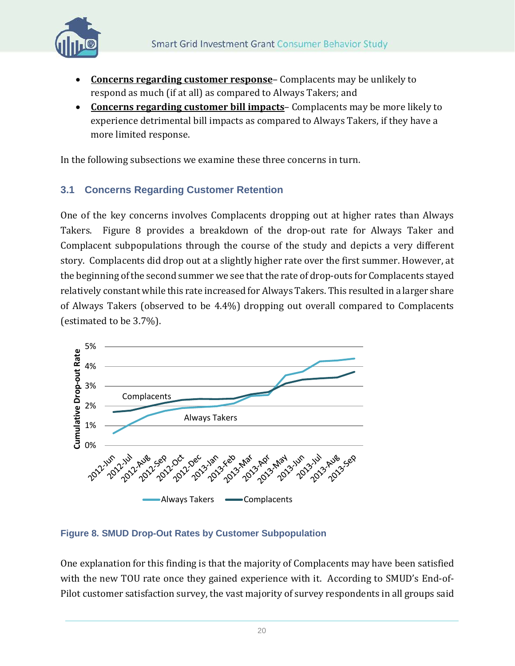

- **Concerns regarding customer response** Complacents may be unlikely to respond as much (if at all) as compared to Always Takers; and
- **Concerns regarding customer bill impacts** Complacents may be more likely to experience detrimental bill impacts as compared to Always Takers, if they have a more limited response.

In the following subsections we examine these three concerns in turn.

#### **3.1 Concerns Regarding Customer Retention**

One of the key concerns involves Complacents dropping out at higher rates than Always Takers. [Figure 8](#page-42-0) provides a breakdown of the drop-out rate for Always Taker and Complacent subpopulations through the course of the study and depicts a very different story. Complacents did drop out at a slightly higher rate over the first summer. However, at the beginning of the second summer we see that the rate of drop-outs for Complacents stayed relatively constant while this rate increased for Always Takers. This resulted in a larger share of Always Takers (observed to be 4.4%) dropping out overall compared to Complacents (estimated to be 3.7%).



#### <span id="page-42-0"></span>**Figure 8. SMUD Drop-Out Rates by Customer Subpopulation**

One explanation for this finding is that the majority of Complacents may have been satisfied with the new TOU rate once they gained experience with it. According to SMUD's End-of-Pilot customer satisfaction survey, the vast majority of survey respondents in all groups said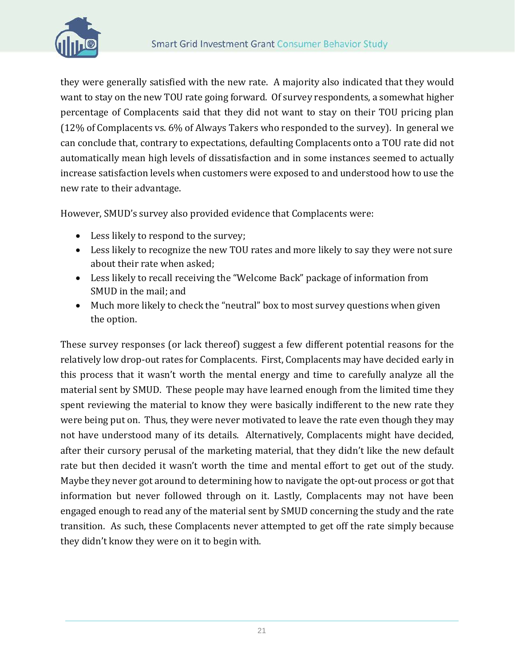they were generally satisfied with the new rate. A majority also indicated that they would want to stay on the new TOU rate going forward. Of survey respondents, a somewhat higher percentage of Complacents said that they did not want to stay on their TOU pricing plan (12% of Complacents vs. 6% of Always Takers who responded to the survey). In general we can conclude that, contrary to expectations, defaulting Complacents onto a TOU rate did not automatically mean high levels of dissatisfaction and in some instances seemed to actually increase satisfaction levels when customers were exposed to and understood how to use the new rate to their advantage.

However, SMUD's survey also provided evidence that Complacents were:

- Less likely to respond to the survey;
- Less likely to recognize the new TOU rates and more likely to say they were not sure about their rate when asked;
- Less likely to recall receiving the "Welcome Back" package of information from SMUD in the mail; and
- Much more likely to check the "neutral" box to most survey questions when given the option.

These survey responses (or lack thereof) suggest a few different potential reasons for the relatively low drop-out rates for Complacents. First, Complacents may have decided early in this process that it wasn't worth the mental energy and time to carefully analyze all the material sent by SMUD. These people may have learned enough from the limited time they spent reviewing the material to know they were basically indifferent to the new rate they were being put on. Thus, they were never motivated to leave the rate even though they may not have understood many of its details. Alternatively, Complacents might have decided, after their cursory perusal of the marketing material, that they didn't like the new default rate but then decided it wasn't worth the time and mental effort to get out of the study. Maybe they never got around to determining how to navigate the opt-out process or got that information but never followed through on it. Lastly, Complacents may not have been engaged enough to read any of the material sent by SMUD concerning the study and the rate transition. As such, these Complacents never attempted to get off the rate simply because they didn't know they were on it to begin with.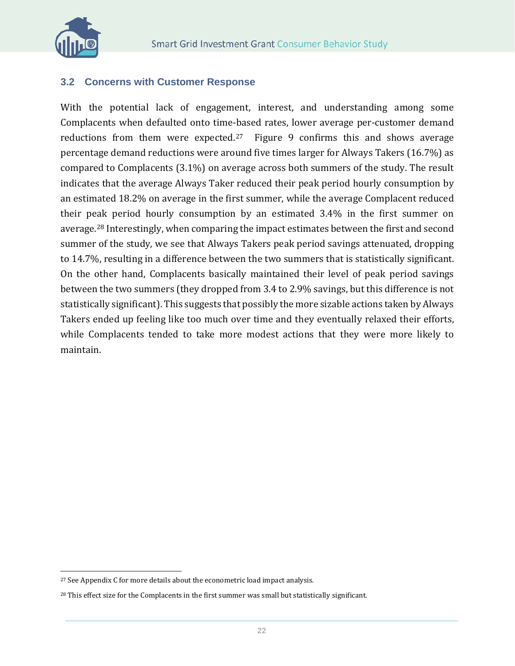

#### **3.2 Concerns with Customer Response**

With the potential lack of engagement, interest, and understanding among some Complacents when defaulted onto time-based rates, lower average per-customer demand reductions from them were expected.<sup>[27](#page-44-0)</sup> [Figure 9](#page-45-0) confirms this and shows average percentage demand reductions were around five times larger for Always Takers (16.7%) as compared to Complacents (3.1%) on average across both summers of the study. The result indicates that the average Always Taker reduced their peak period hourly consumption by an estimated 18.2% on average in the first summer, while the average Complacent reduced their peak period hourly consumption by an estimated 3.4% in the first summer on average.[28](#page-44-1) Interestingly, when comparing the impact estimates between the first and second summer of the study, we see that Always Takers peak period savings attenuated, dropping to 14.7%, resulting in a difference between the two summers that is statistically significant. On the other hand, Complacents basically maintained their level of peak period savings between the two summers (they dropped from 3.4 to 2.9% savings, but this difference is not statistically significant). This suggests that possibly the more sizable actions taken by Always Takers ended up feeling like too much over time and they eventually relaxed their efforts, while Complacents tended to take more modest actions that they were more likely to maintain.

<span id="page-44-0"></span> $27$  Se[e Appendix C](#page-64-0) for more details about the econometric load impact analysis.

<span id="page-44-1"></span><sup>&</sup>lt;sup>28</sup> This effect size for the Complacents in the first summer was small but statistically significant.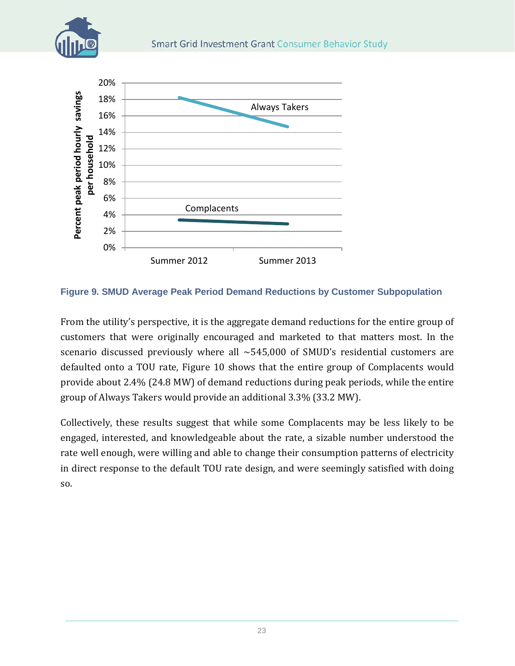



#### <span id="page-45-0"></span>**Figure 9. SMUD Average Peak Period Demand Reductions by Customer Subpopulation**

From the utility's perspective, it is the aggregate demand reductions for the entire group of customers that were originally encouraged and marketed to that matters most. In the scenario discussed previously where all ~545,000 of SMUD's residential customers are defaulted onto a TOU rate, [Figure 10](#page-46-0) shows that the entire group of Complacents would provide about 2.4% (24.8 MW) of demand reductions during peak periods, while the entire group of Always Takers would provide an additional 3.3% (33.2 MW).

Collectively, these results suggest that while some Complacents may be less likely to be engaged, interested, and knowledgeable about the rate, a sizable number understood the rate well enough, were willing and able to change their consumption patterns of electricity in direct response to the default TOU rate design, and were seemingly satisfied with doing so.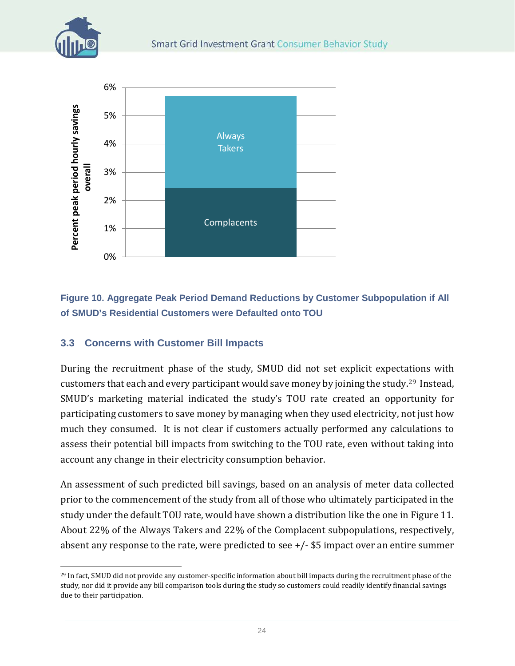



### <span id="page-46-0"></span>**Figure 10. Aggregate Peak Period Demand Reductions by Customer Subpopulation if All of SMUD's Residential Customers were Defaulted onto TOU**

## **3.3 Concerns with Customer Bill Impacts**

During the recruitment phase of the study, SMUD did not set explicit expectations with customers that each and every participant would save money by joining the study.[29](#page-46-1) Instead, SMUD's marketing material indicated the study's TOU rate created an opportunity for participating customers to save money by managing when they used electricity, not just how much they consumed. It is not clear if customers actually performed any calculations to assess their potential bill impacts from switching to the TOU rate, even without taking into account any change in their electricity consumption behavior.

An assessment of such predicted bill savings, based on an analysis of meter data collected prior to the commencement of the study from all of those who ultimately participated in the study under the default TOU rate, would have shown a distribution like the one in [Figure 11.](#page-47-0) About 22% of the Always Takers and 22% of the Complacent subpopulations, respectively, absent any response to the rate, were predicted to see +/- \$5 impact over an entire summer

<span id="page-46-1"></span><sup>&</sup>lt;sup>29</sup> In fact, SMUD did not provide any customer-specific information about bill impacts during the recruitment phase of the study, nor did it provide any bill comparison tools during the study so customers could readily identify financial savings due to their participation.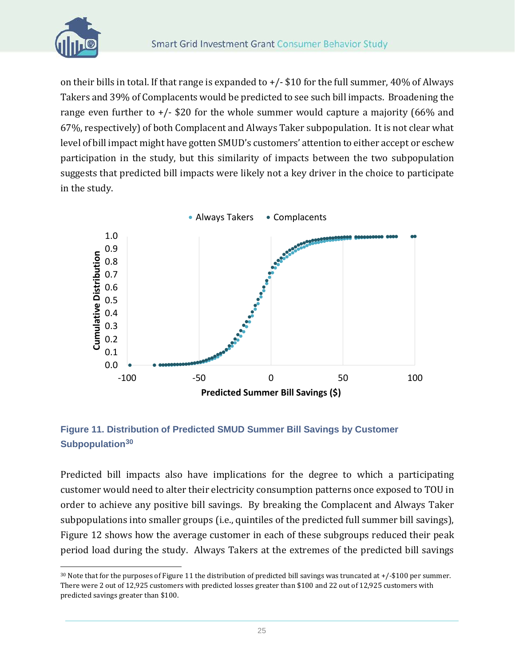

on their bills in total. If that range is expanded to +/- \$10 for the full summer, 40% of Always Takers and 39% of Complacents would be predicted to see such bill impacts. Broadening the range even further to  $+/-$  \$20 for the whole summer would capture a majority (66% and 67%, respectively) of both Complacent and Always Taker subpopulation. It is not clear what level of bill impact might have gotten SMUD's customers' attention to either accept or eschew participation in the study, but this similarity of impacts between the two subpopulation suggests that predicted bill impacts were likely not a key driver in the choice to participate in the study.



#### <span id="page-47-0"></span>**Figure 11. Distribution of Predicted SMUD Summer Bill Savings by Customer Subpopulation[30](#page-47-1)**

Predicted bill impacts also have implications for the degree to which a participating customer would need to alter their electricity consumption patterns once exposed to TOU in order to achieve any positive bill savings. By breaking the Complacent and Always Taker subpopulations into smaller groups (i.e., quintiles of the predicted full summer bill savings), [Figure 12](#page-48-0) shows how the average customer in each of these subgroups reduced their peak period load during the study. Always Takers at the extremes of the predicted bill savings

<span id="page-47-1"></span> $30$  Note that for the purposes o[f Figure 11](#page-47-0) the distribution of predicted bill savings was truncated at  $+/-$ \$100 per summer. There were 2 out of 12,925 customers with predicted losses greater than \$100 and 22 out of 12,925 customers with predicted savings greater than \$100.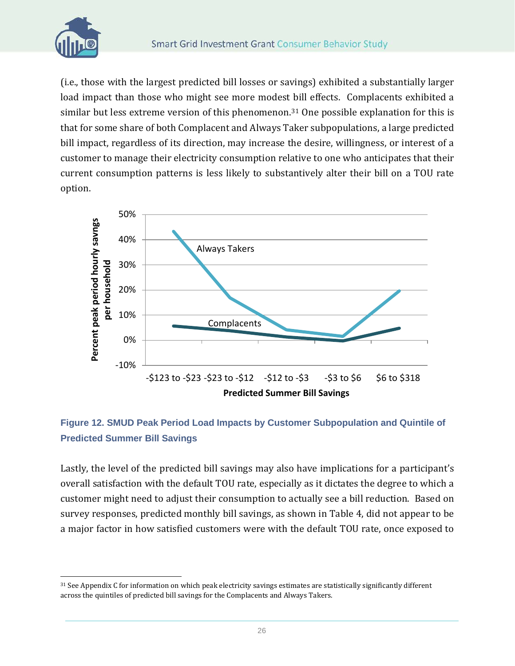

(i.e., those with the largest predicted bill losses or savings) exhibited a substantially larger load impact than those who might see more modest bill effects. Complacents exhibited a similar but less extreme version of this phenomenon.<sup>[31](#page-48-1)</sup> One possible explanation for this is that for some share of both Complacent and Always Taker subpopulations, a large predicted bill impact, regardless of its direction, may increase the desire, willingness, or interest of a customer to manage their electricity consumption relative to one who anticipates that their current consumption patterns is less likely to substantively alter their bill on a TOU rate option.



### <span id="page-48-0"></span>**Figure 12. SMUD Peak Period Load Impacts by Customer Subpopulation and Quintile of Predicted Summer Bill Savings**

Lastly, the level of the predicted bill savings may also have implications for a participant's overall satisfaction with the default TOU rate, especially as it dictates the degree to which a customer might need to adjust their consumption to actually see a bill reduction. Based on survey responses, predicted monthly bill savings, as shown in [Table 4,](#page-50-0) did not appear to be a major factor in how satisfied customers were with the default TOU rate, once exposed to

<span id="page-48-1"></span> <sup>31</sup> Se[e Appendix C](#page-64-0) for information on which peak electricity savings estimates are statistically significantly different across the quintiles of predicted bill savings for the Complacents and Always Takers.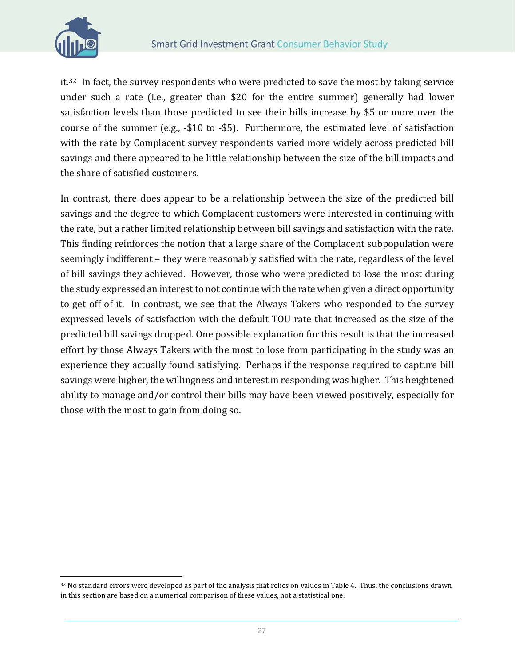

it.[32](#page-49-0) In fact, the survey respondents who were predicted to save the most by taking service under such a rate (i.e., greater than \$20 for the entire summer) generally had lower satisfaction levels than those predicted to see their bills increase by \$5 or more over the course of the summer (e.g., -\$10 to -\$5). Furthermore, the estimated level of satisfaction with the rate by Complacent survey respondents varied more widely across predicted bill savings and there appeared to be little relationship between the size of the bill impacts and the share of satisfied customers.

In contrast, there does appear to be a relationship between the size of the predicted bill savings and the degree to which Complacent customers were interested in continuing with the rate, but a rather limited relationship between bill savings and satisfaction with the rate. This finding reinforces the notion that a large share of the Complacent subpopulation were seemingly indifferent – they were reasonably satisfied with the rate, regardless of the level of bill savings they achieved. However, those who were predicted to lose the most during the study expressed an interest to not continue with the rate when given a direct opportunity to get off of it. In contrast, we see that the Always Takers who responded to the survey expressed levels of satisfaction with the default TOU rate that increased as the size of the predicted bill savings dropped. One possible explanation for this result is that the increased effort by those Always Takers with the most to lose from participating in the study was an experience they actually found satisfying. Perhaps if the response required to capture bill savings were higher, the willingness and interest in responding was higher. This heightened ability to manage and/or control their bills may have been viewed positively, especially for those with the most to gain from doing so.

<span id="page-49-0"></span> <sup>32</sup> No standard errors were developed as part of the analysis that relies on values i[n Table 4.](#page-50-0) Thus, the conclusions drawn in this section are based on a numerical comparison of these values, not a statistical one.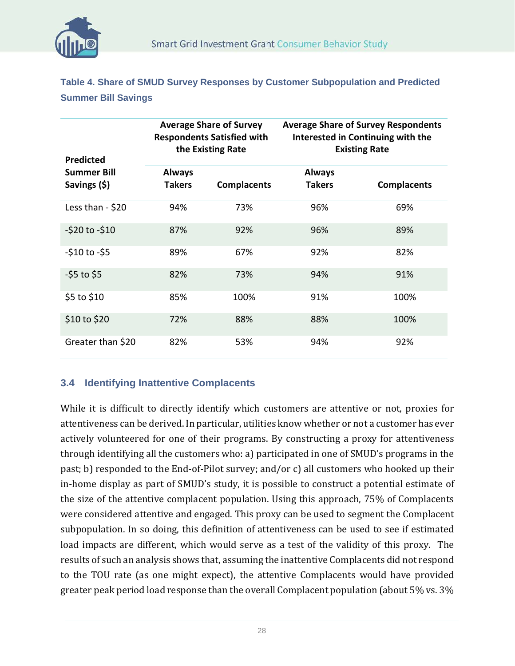

#### <span id="page-50-0"></span>**Table 4. Share of SMUD Survey Responses by Customer Subpopulation and Predicted Summer Bill Savings**

| <b>Predicted</b>                   |                                                      | <b>Average Share of Survey</b><br><b>Respondents Satisfied with</b><br>the Existing Rate | <b>Average Share of Survey Respondents</b><br>Interested in Continuing with the<br><b>Existing Rate</b> |                    |  |  |  |
|------------------------------------|------------------------------------------------------|------------------------------------------------------------------------------------------|---------------------------------------------------------------------------------------------------------|--------------------|--|--|--|
| <b>Summer Bill</b><br>Savings (\$) | <b>Always</b><br><b>Takers</b><br><b>Complacents</b> |                                                                                          | <b>Always</b><br><b>Takers</b>                                                                          | <b>Complacents</b> |  |  |  |
| Less than - \$20                   | 94%                                                  | 73%                                                                                      | 96%                                                                                                     | 69%                |  |  |  |
| $-$ \$20 to $-$ \$10               | 87%                                                  | 92%                                                                                      | 96%                                                                                                     | 89%                |  |  |  |
| $-510$ to $-55$                    | 89%                                                  | 67%                                                                                      | 92%                                                                                                     | 82%                |  |  |  |
| $-$ \$5 to \$5                     | 82%                                                  | 73%                                                                                      | 94%                                                                                                     | 91%                |  |  |  |
| \$5 to \$10                        | 85%                                                  | 100%                                                                                     | 91%                                                                                                     | 100%               |  |  |  |
| \$10 to \$20                       | 72%                                                  | 88%                                                                                      | 88%                                                                                                     | 100%               |  |  |  |
| Greater than \$20                  | 82%                                                  | 53%                                                                                      | 94%                                                                                                     | 92%                |  |  |  |

#### **3.4 Identifying Inattentive Complacents**

While it is difficult to directly identify which customers are attentive or not, proxies for attentiveness can be derived. In particular, utilities know whether or not a customer has ever actively volunteered for one of their programs. By constructing a proxy for attentiveness through identifying all the customers who: a) participated in one of SMUD's programs in the past; b) responded to the End-of-Pilot survey; and/or c) all customers who hooked up their in-home display as part of SMUD's study, it is possible to construct a potential estimate of the size of the attentive complacent population. Using this approach, 75% of Complacents were considered attentive and engaged. This proxy can be used to segment the Complacent subpopulation. In so doing, this definition of attentiveness can be used to see if estimated load impacts are different, which would serve as a test of the validity of this proxy. The results of such an analysis shows that, assuming the inattentive Complacents did not respond to the TOU rate (as one might expect), the attentive Complacents would have provided greater peak period load response than the overall Complacent population (about 5% vs. 3%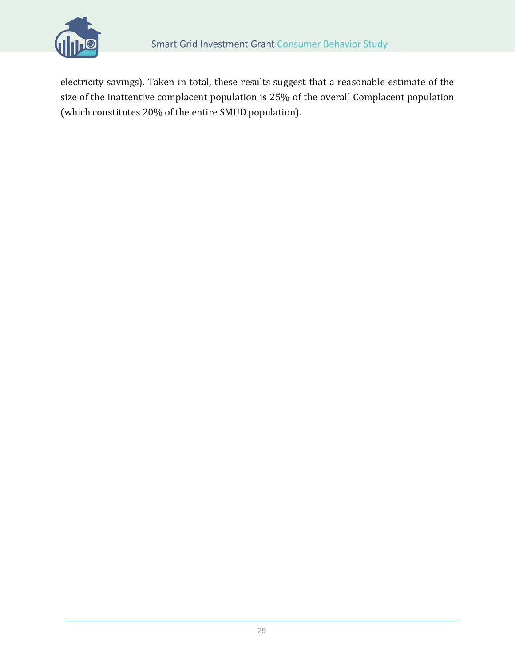

electricity savings). Taken in total, these results suggest that a reasonable estimate of the size of the inattentive complacent population is 25% of the overall Complacent population (which constitutes 20% of the entire SMUD population).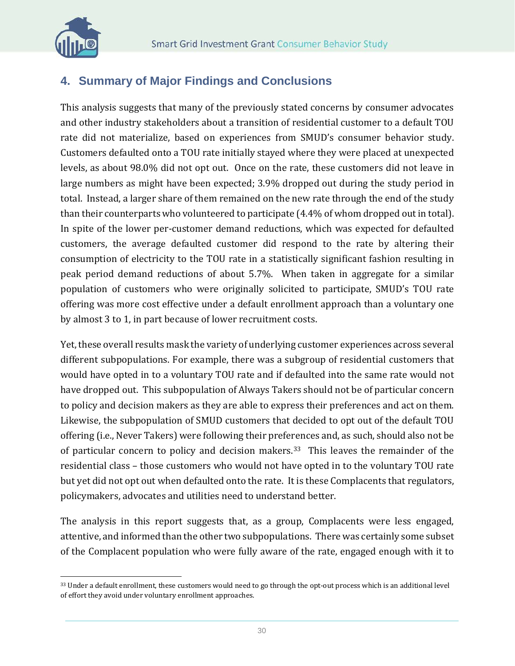

## **4. Summary of Major Findings and Conclusions**

This analysis suggests that many of the previously stated concerns by consumer advocates and other industry stakeholders about a transition of residential customer to a default TOU rate did not materialize, based on experiences from SMUD's consumer behavior study. Customers defaulted onto a TOU rate initially stayed where they were placed at unexpected levels, as about 98.0% did not opt out. Once on the rate, these customers did not leave in large numbers as might have been expected; 3.9% dropped out during the study period in total. Instead, a larger share of them remained on the new rate through the end of the study than their counterparts who volunteered to participate (4.4% of whom dropped out in total). In spite of the lower per-customer demand reductions, which was expected for defaulted customers, the average defaulted customer did respond to the rate by altering their consumption of electricity to the TOU rate in a statistically significant fashion resulting in peak period demand reductions of about 5.7%. When taken in aggregate for a similar population of customers who were originally solicited to participate, SMUD's TOU rate offering was more cost effective under a default enrollment approach than a voluntary one by almost 3 to 1, in part because of lower recruitment costs.

Yet, these overall results mask the variety of underlying customer experiences across several different subpopulations. For example, there was a subgroup of residential customers that would have opted in to a voluntary TOU rate and if defaulted into the same rate would not have dropped out. This subpopulation of Always Takers should not be of particular concern to policy and decision makers as they are able to express their preferences and act on them. Likewise, the subpopulation of SMUD customers that decided to opt out of the default TOU offering (i.e., Never Takers) were following their preferences and, as such, should also not be of particular concern to policy and decision makers.[33](#page-52-0) This leaves the remainder of the residential class – those customers who would not have opted in to the voluntary TOU rate but yet did not opt out when defaulted onto the rate. It is these Complacents that regulators, policymakers, advocates and utilities need to understand better.

The analysis in this report suggests that, as a group, Complacents were less engaged, attentive, and informed than the other two subpopulations. There was certainly some subset of the Complacent population who were fully aware of the rate, engaged enough with it to

<span id="page-52-0"></span><sup>&</sup>lt;sup>33</sup> Under a default enrollment, these customers would need to go through the opt-out process which is an additional level of effort they avoid under voluntary enrollment approaches.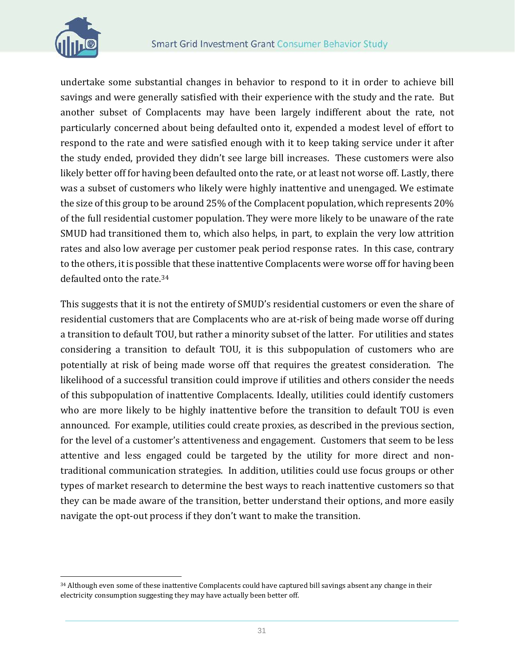

undertake some substantial changes in behavior to respond to it in order to achieve bill savings and were generally satisfied with their experience with the study and the rate. But another subset of Complacents may have been largely indifferent about the rate, not particularly concerned about being defaulted onto it, expended a modest level of effort to respond to the rate and were satisfied enough with it to keep taking service under it after the study ended, provided they didn't see large bill increases. These customers were also likely better off for having been defaulted onto the rate, or at least not worse off. Lastly, there was a subset of customers who likely were highly inattentive and unengaged. We estimate the size of this group to be around 25% of the Complacent population, which represents 20% of the full residential customer population. They were more likely to be unaware of the rate SMUD had transitioned them to, which also helps, in part, to explain the very low attrition rates and also low average per customer peak period response rates. In this case, contrary to the others, it is possi[ble](#page-53-0) that these inattentive Complacents were worse off for having been defaulted onto the rate. 34

This suggests that it is not the entirety of SMUD's residential customers or even the share of residential customers that are Complacents who are at-risk of being made worse off during a transition to default TOU, but rather a minority subset of the latter. For utilities and states considering a transition to default TOU, it is this subpopulation of customers who are potentially at risk of being made worse off that requires the greatest consideration. The likelihood of a successful transition could improve if utilities and others consider the needs of this subpopulation of inattentive Complacents. Ideally, utilities could identify customers who are more likely to be highly inattentive before the transition to default TOU is even announced. For example, utilities could create proxies, as described in the previous section, for the level of a customer's attentiveness and engagement. Customers that seem to be less attentive and less engaged could be targeted by the utility for more direct and nontraditional communication strategies. In addition, utilities could use focus groups or other types of market research to determine the best ways to reach inattentive customers so that they can be made aware of the transition, better understand their options, and more easily navigate the opt-out process if they don't want to make the transition.

<span id="page-53-0"></span> $34$  Although even some of these inattentive Complacents could have captured bill savings absent any change in their electricity consumption suggesting they may have actually been better off.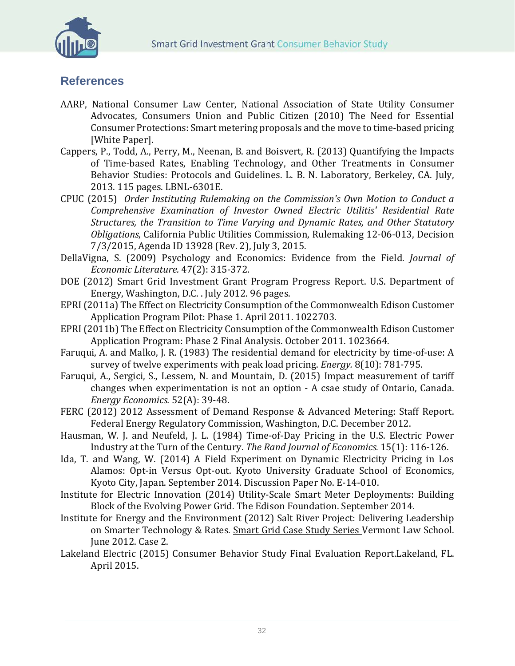

## **References**

- AARP, National Consumer Law Center, National Association of State Utility Consumer Advocates, Consumers Union and Public Citizen (2010) The Need for Essential Consumer Protections: Smart metering proposals and the move to time-based pricing [White Paper].
- <span id="page-54-0"></span>Cappers, P., Todd, A., Perry, M., Neenan, B. and Boisvert, R. (2013) Quantifying the Impacts of Time-based Rates, Enabling Technology, and Other Treatments in Consumer Behavior Studies: Protocols and Guidelines. L. B. N. Laboratory, Berkeley, CA. July, 2013. 115 pages. LBNL-6301E.
- CPUC (2015) *Order Instituting Rulemaking on the Commission's Own Motion to Conduct a Comprehensive Examination of Investor Owned Electric Utilitis' Residential Rate Structures, the Transition to Time Varying and Dynamic Rates, and Other Statutory Obligations*, California Public Utilities Commission, Rulemaking 12-06-013, Decision 7/3/2015, Agenda ID 13928 (Rev. 2), July 3, 2015.
- DellaVigna, S. (2009) Psychology and Economics: Evidence from the Field. *Journal of Economic Literature.* 47(2): 315-372.
- DOE (2012) Smart Grid Investment Grant Program Progress Report. U.S. Department of Energy, Washington, D.C. . July 2012. 96 pages.
- EPRI(2011a) The Effect on Electricity Consumption of the Commonwealth Edison Customer Application Program Pilot: Phase 1. April 2011. 1022703.
- EPRI (2011b) The Effect on Electricity Consumption of the Commonwealth Edison Customer Application Program: Phase 2 Final Analysis. October 2011. 1023664.
- Faruqui, A. and Malko, J. R. (1983) The residential demand for electricity by time-of-use: A survey of twelve experiments with peak load pricing. *Energy.* 8(10): 781-795.
- Faruqui, A., Sergici, S., Lessem, N. and Mountain, D. (2015) Impact measurement of tariff changes when experimentation is not an option - A csae study of Ontario, Canada. *Energy Economics.* 52(A): 39-48.
- FERC (2012) 2012 Assessment of Demand Response & Advanced Metering: Staff Report. Federal Energy Regulatory Commission, Washington, D.C. December 2012.
- Hausman, W. J. and Neufeld, J. L. (1984) Time-of-Day Pricing in the U.S. Electric Power Industry at the Turn of the Century. *The Rand Journal of Economics.* 15(1): 116-126.
- Ida, T. and Wang, W. (2014) A Field Experiment on Dynamic Electricity Pricing in Los Alamos: Opt-in Versus Opt-out. Kyoto University Graduate School of Economics, Kyoto City, Japan. September 2014. Discussion Paper No. E-14-010.
- Institute for Electric Innovation (2014) Utility-Scale Smart Meter Deployments: Building Block of the Evolving Power Grid. The Edison Foundation. September 2014.
- Institute for Energy and the Environment (2012) Salt River Project: Delivering Leadership on Smarter Technology & Rates. Smart Grid Case Study Series Vermont Law School. June 2012. Case 2.
- Lakeland Electric (2015) Consumer Behavior Study Final Evaluation Report.Lakeland, FL. April 2015.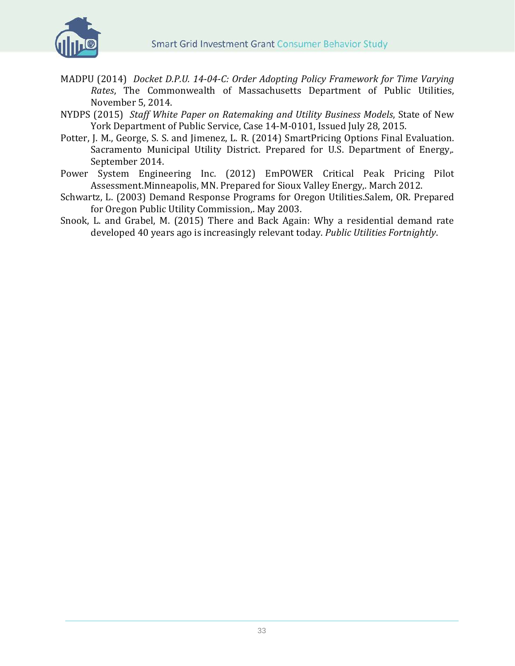

- MADPU (2014) *Docket D.P.U. 14-04-C: Order Adopting Policy Framework for Time Varying Rates*, The Commonwealth of Massachusetts Department of Public Utilities, November 5, 2014.
- NYDPS (2015) *Staff White Paper on Ratemaking and Utility Business Models*, State of New York Department of Public Service, Case 14-M-0101, Issued July 28, 2015.
- <span id="page-55-0"></span>Potter, J. M., George, S. S. and Jimenez, L. R. (2014) SmartPricing Options Final Evaluation. Sacramento Municipal Utility District. Prepared for U.S. Department of Energy,. September 2014.
- Power System Engineering Inc. (2012) EmPOWER Critical Peak Pricing Pilot Assessment.Minneapolis, MN. Prepared for Sioux Valley Energy,. March 2012.
- Schwartz, L. (2003) Demand Response Programs for Oregon Utilities.Salem, OR. Prepared for Oregon Public Utility Commission,. May 2003.
- Snook, L. and Grabel, M. (2015) There and Back Again: Why a residential demand rate developed 40 years ago is increasingly relevant today. *Public Utilities Fortnightly*.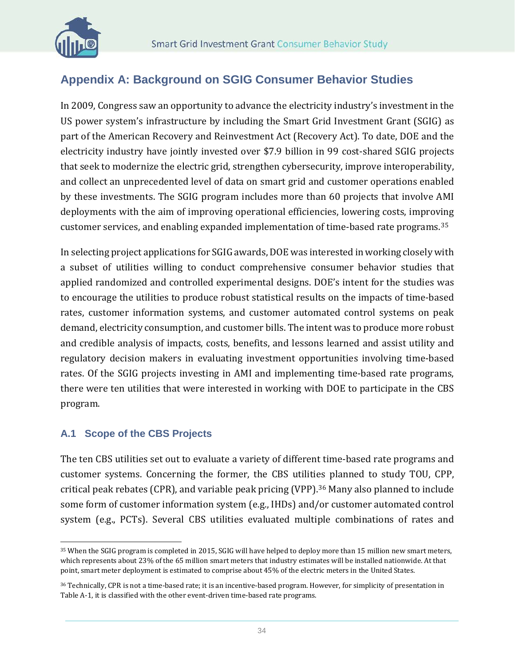

# **Appendix A: Background on SGIG Consumer Behavior Studies**

In 2009, Congress saw an opportunity to advance the electricity industry's investment in the US power system's infrastructure by including the Smart Grid Investment Grant (SGIG) as part of the American Recovery and Reinvestment Act (Recovery Act). To date, DOE and the electricity industry have jointly invested over \$7.9 billion in 99 cost-shared SGIG projects that seek to modernize the electric grid, strengthen cybersecurity, improve interoperability, and collect an unprecedented level of data on smart grid and customer operations enabled by these investments. The SGIG program includes more than 60 projects that involve AMI deployments with the aim of improving operational efficiencies, lowering costs, improving customer services, and enabling expanded implementation of time-based rate programs.[35](#page-56-0)

In selecting project applications for SGIG awards, DOE was interested in working closely with a subset of utilities willing to conduct comprehensive consumer behavior studies that applied randomized and controlled experimental designs. DOE's intent for the studies was to encourage the utilities to produce robust statistical results on the impacts of time-based rates, customer information systems, and customer automated control systems on peak demand, electricity consumption, and customer bills. The intent was to produce more robust and credible analysis of impacts, costs, benefits, and lessons learned and assist utility and regulatory decision makers in evaluating investment opportunities involving time-based rates. Of the SGIG projects investing in AMI and implementing time-based rate programs, there were ten utilities that were interested in working with DOE to participate in the CBS program.

#### **A.1 Scope of the CBS Projects**

The ten CBS utilities set out to evaluate a variety of different time-based rate programs and customer systems. Concerning the former, the CBS utiliti[es](#page-56-1) planned to study TOU, CPP, critical peak rebates (CPR), and variable peak pricing (VPP). <sup>36</sup> Many also planned to include some form of customer information system (e.g., IHDs) and/or customer automated control system (e.g., PCTs). Several CBS utilities evaluated multiple combinations of rates and

<span id="page-56-0"></span> <sup>35</sup> When the SGIG program is completed in 2015, SGIG will have helped to deploy more than 15 million new smart meters, which represents about 23% of the 65 million smart meters that industry estimates will be installed nationwide. At that point, smart meter deployment is estimated to comprise about 45% of the electric meters in the United States.

<span id="page-56-1"></span><sup>36</sup> Technically, CPR is not a time-based rate; it is an incentive-based program. However, for simplicity of presentation in Table A-1, it is classified with the other event-driven time-based rate programs.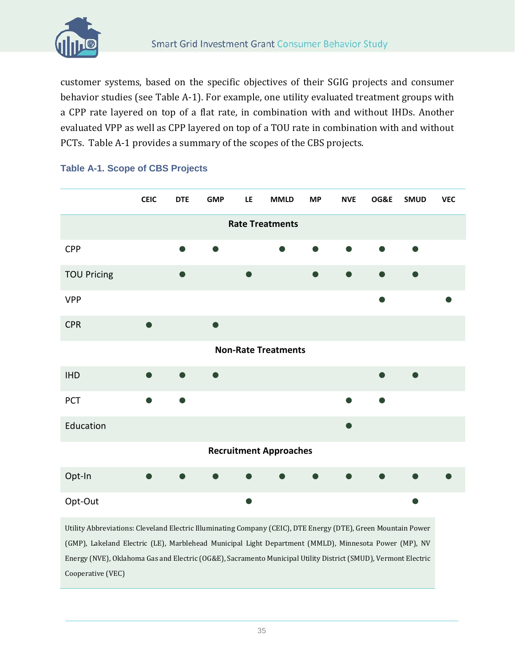

customer systems, based on the specific objectives of their SGIG projects and consumer behavior studies (see [Table A-1\)](#page-57-0). For example, one utility evaluated treatment groups with a CPP rate layered on top of a flat rate, in combination with and without IHDs. Another evaluated VPP as well as CPP layered on top of a TOU rate in combination with and without PCTs. [Table A-1](#page-57-0) provides a summary of the scopes of the CBS projects.



#### <span id="page-57-0"></span>**Table A-1. Scope of CBS Projects**

(GMP), Lakeland Electric (LE), Marblehead Municipal Light Department (MMLD), Minnesota Power (MP), NV Energy (NVE), Oklahoma Gas and Electric (OG&E), Sacramento Municipal Utility District (SMUD), Vermont Electric Cooperative (VEC)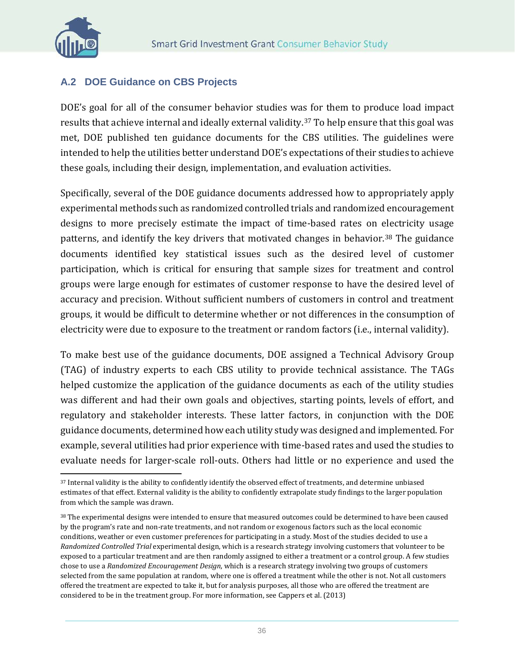

### **A.2 DOE Guidance on CBS Projects**

DOE's goal for all of the consumer behavior studies was for them to produce load impact results that achieve internal and ideally external validity.<sup>[37](#page-58-0)</sup> To help ensure that this goal was met, DOE published ten guidance documents for the CBS utilities. The guidelines were intended to help the utilities better understand DOE's expectations of their studies to achieve these goals, including their design, implementation, and evaluation activities.

Specifically, several of the DOE guidance documents addressed how to appropriately apply experimental methods such as randomized controlled trials and randomized encouragement designs to more precisely estimate the impact of time-based rates on electricity usage patterns, and identify the key drivers that motivated changes in behavior.<sup>[38](#page-58-1)</sup> The guidance documents identified key statistical issues such as the desired level of customer participation, which is critical for ensuring that sample sizes for treatment and control groups were large enough for estimates of customer response to have the desired level of accuracy and precision. Without sufficient numbers of customers in control and treatment groups, it would be difficult to determine whether or not differences in the consumption of electricity were due to exposure to the treatment or random factors (i.e., internal validity).

To make best use of the guidance documents, DOE assigned a Technical Advisory Group (TAG) of industry experts to each CBS utility to provide technical assistance. The TAGs helped customize the application of the guidance documents as each of the utility studies was different and had their own goals and objectives, starting points, levels of effort, and regulatory and stakeholder interests. These latter factors, in conjunction with the DOE guidance documents, determined how each utility study was designed and implemented. For example, several utilities had prior experience with time-based rates and used the studies to evaluate needs for larger-scale roll-outs. Others had little or no experience and used the

<span id="page-58-0"></span> <sup>37</sup> Internal validity is the ability to confidently identify the observed effect of treatments, and determine unbiased estimates of that effect. External validity is the ability to confidently extrapolate study findings to the larger population from which the sample was drawn.

<span id="page-58-1"></span><sup>38</sup> The experimental designs were intended to ensure that measured outcomes could be determined to have been caused by the program's rate and non-rate treatments, and not random or exogenous factors such as the local economic conditions, weather or even customer preferences for participating in a study. Most of the studies decided to use a *Randomized Controlled Trial* experimental design, which is a research strategy involving customers that volunteer to be exposed to a particular treatment and are then randomly assigned to either a treatment or a control group. A few studies chose to use a *Randomized Encouragement Design*, which is a research strategy involving two groups of customers selected from the same population at random, where one is offered a treatment while the other is not. Not all customers offered the treatment are expected to take it, but for analysis purposes, all those who are offered the treatment are considered to be in the treatment group. For more information, see Cappers et al. [\(2013\)](#page-54-0)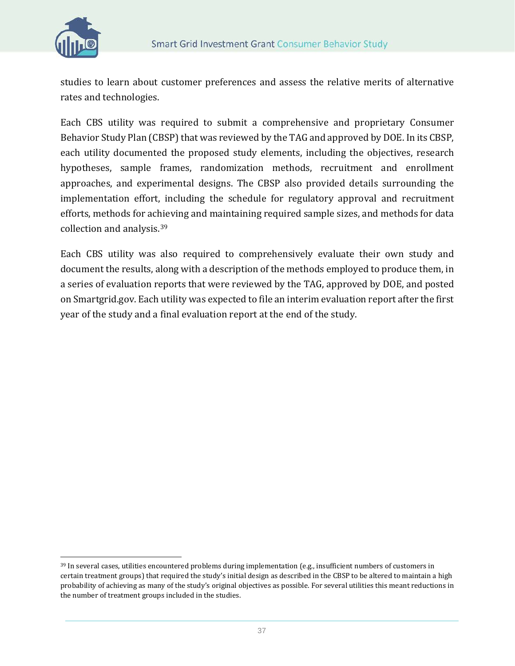

studies to learn about customer preferences and assess the relative merits of alternative rates and technologies.

Each CBS utility was required to submit a comprehensive and proprietary Consumer Behavior Study Plan (CBSP) that was reviewed by the TAG and approved by DOE. In its CBSP, each utility documented the proposed study elements, including the objectives, research hypotheses, sample frames, randomization methods, recruitment and enrollment approaches, and experimental designs. The CBSP also provided details surrounding the implementation effort, including the schedule for regulatory approval and recruitment efforts, methods for achieving and maintaining required sample sizes, and methods for data collection and analysis.[39](#page-59-0)

Each CBS utility was also required to comprehensively evaluate their own study and document the results, along with a description of the methods employed to produce them, in a series of evaluation reports that were reviewed by the TAG, approved by DOE, and posted on Smartgrid.gov. Each utility was expected to file an interim evaluation report after the first year of the study and a final evaluation report at the end of the study.

<span id="page-59-0"></span> <sup>39</sup> In several cases, utilities encountered problems during implementation (e.g., insufficient numbers of customers in certain treatment groups) that required the study's initial design as described in the CBSP to be altered to maintain a high probability of achieving as many of the study's original objectives as possible. For several utilities this meant reductions in the number of treatment groups included in the studies.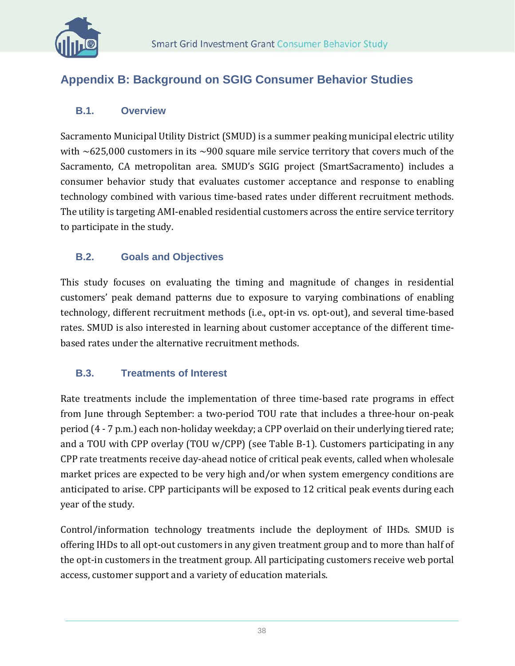

# **Appendix B: Background on SGIG Consumer Behavior Studies**

#### **B.1. Overview**

Sacramento Municipal Utility District (SMUD) is a summer peaking municipal electric utility with  $\sim$  625,000 customers in its  $\sim$ 900 square mile service territory that covers much of the Sacramento, CA metropolitan area. SMUD's SGIG project (SmartSacramento) includes a consumer behavior study that evaluates customer acceptance and response to enabling technology combined with various time-based rates under different recruitment methods. The utility is targeting AMI-enabled residential customers across the entire service territory to participate in the study.

### **B.2. Goals and Objectives**

This study focuses on evaluating the timing and magnitude of changes in residential customers' peak demand patterns due to exposure to varying combinations of enabling technology, different recruitment methods (i.e., opt-in vs. opt-out), and several time-based rates. SMUD is also interested in learning about customer acceptance of the different timebased rates under the alternative recruitment methods.

#### **B.3. Treatments of Interest**

Rate treatments include the implementation of three time-based rate programs in effect from June through September: a two-period TOU rate that includes a three-hour on-peak period (4 - 7 p.m.) each non-holiday weekday; a CPP overlaid on their underlying tiered rate; and a TOU with CPP overlay (TOU w/CPP) (see [Table B-1\)](#page-61-0). Customers participating in any CPP rate treatments receive day-ahead notice of critical peak events, called when wholesale market prices are expected to be very high and/or when system emergency conditions are anticipated to arise. CPP participants will be exposed to 12 critical peak events during each year of the study.

Control/information technology treatments include the deployment of IHDs. SMUD is offering IHDs to all opt-out customers in any given treatment group and to more than half of the opt-in customers in the treatment group. All participating customers receive web portal access, customer support and a variety of education materials.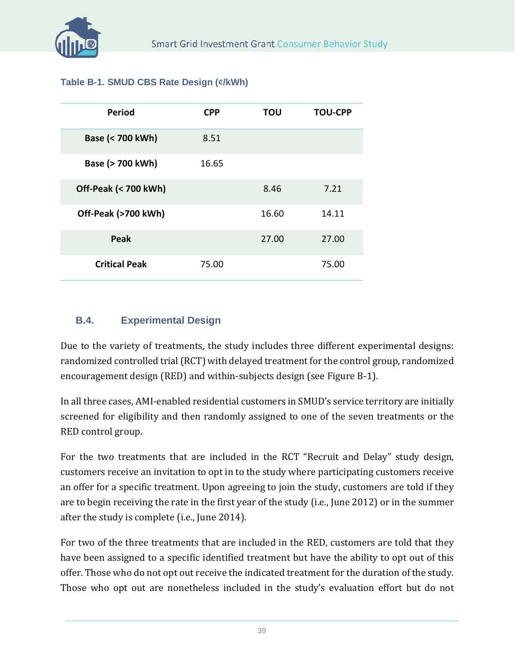

| <b>Period</b>                  | <b>CPP</b> | <b>TOU</b> | <b>TOU-CPP</b> |
|--------------------------------|------------|------------|----------------|
| Base (< 700 kWh)               | 8.51       |            |                |
| Base (> 700 kWh)               | 16.65      |            |                |
| <b>Off-Peak (&lt; 700 kWh)</b> |            | 8.46       | 7.21           |
| Off-Peak (>700 kWh)            |            | 16.60      | 14.11          |
| Peak                           |            | 27.00      | 27.00          |
| <b>Critical Peak</b>           | 75.00      |            | 75.00          |

### <span id="page-61-0"></span>**Table B-1. SMUD CBS Rate Design (¢/kWh)**

### **B.4. Experimental Design**

Due to the variety of treatments, the study includes three different experimental designs: randomized controlled trial (RCT) with delayed treatment for the control group, randomized encouragement design (RED) and within-subjects design (see [Figure B-1\)](#page-63-0).

In all three cases, AMI-enabled residential customers in SMUD's service territory are initially screened for eligibility and then randomly assigned to one of the seven treatments or the RED control group.

For the two treatments that are included in the RCT "Recruit and Delay" study design, customers receive an invitation to opt in to the study where participating customers receive an offer for a specific treatment. Upon agreeing to join the study, customers are told if they are to begin receiving the rate in the first year of the study (i.e., June 2012) or in the summer after the study is complete (i.e., June 2014).

For two of the three treatments that are included in the RED, customers are told that they have been assigned to a specific identified treatment but have the ability to opt out of this offer. Those who do not opt out receive the indicated treatment for the duration of the study. Those who opt out are nonetheless included in the study's evaluation effort but do not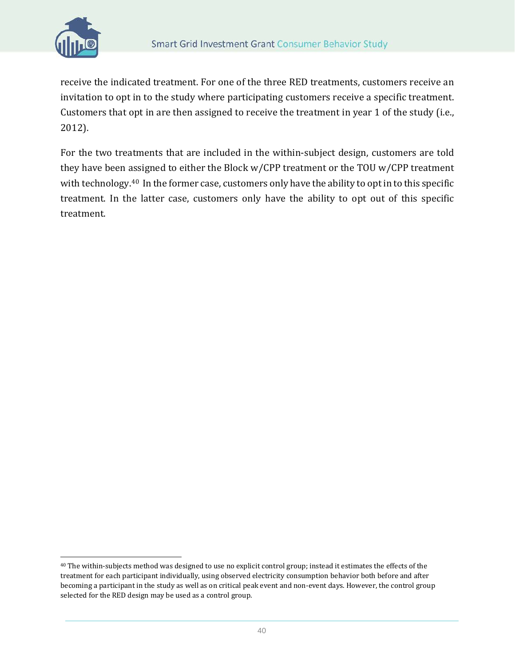

receive the indicated treatment. For one of the three RED treatments, customers receive an invitation to opt in to the study where participating customers receive a specific treatment. Customers that opt in are then assigned to receive the treatment in year 1 of the study (i.e., 2012).

For the two treatments that are included in the within-subject design, customers are told they have been assigned to either the Block w/CPP treatment or the TOU w/CPP treatment with technology.<sup>40</sup> In the former case, customers only have the ability to opt in to this specific treatment. In the latter case, customers only have the ability to opt out of this specific treatment.

<span id="page-62-0"></span> <sup>40</sup> The within-subjects method was designed to use no explicit control group; instead it estimates the effects of the treatment for each participant individually, using observed electricity consumption behavior both before and after becoming a participant in the study as well as on critical peak event and non-event days. However, the control group selected for the RED design may be used as a control group.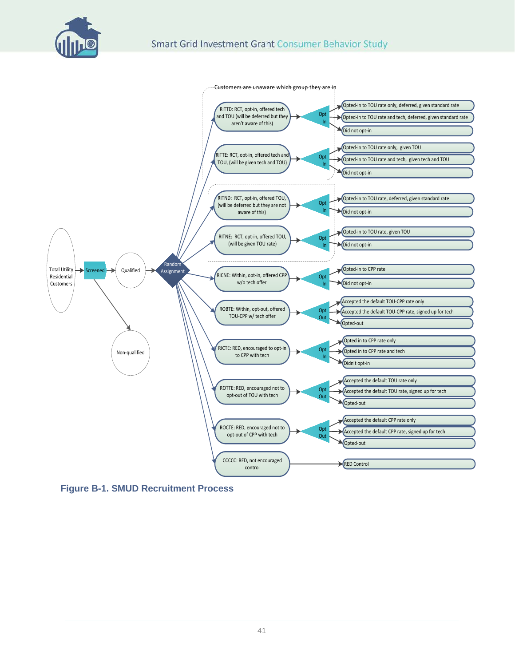



<span id="page-63-0"></span>**Figure B-1. SMUD Recruitment Process**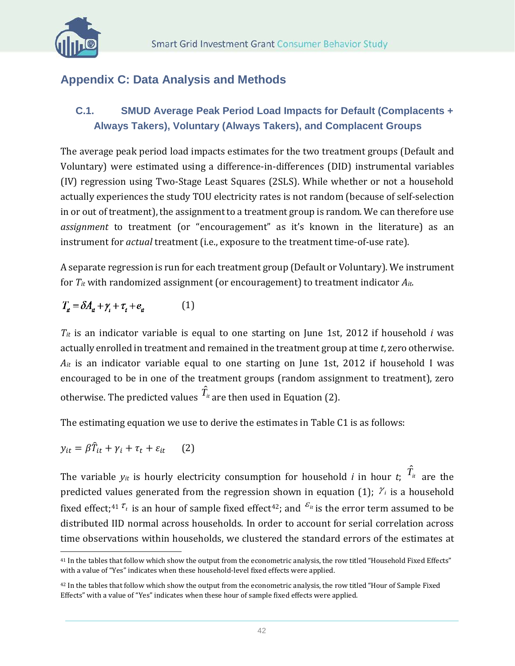

# <span id="page-64-0"></span>**Appendix C: Data Analysis and Methods**

## <span id="page-64-3"></span>**C.1. SMUD Average Peak Period Load Impacts for Default (Complacents + Always Takers), Voluntary (Always Takers), and Complacent Groups**

The average peak period load impacts estimates for the two treatment groups (Default and Voluntary) were estimated using a difference-in-differences (DID) instrumental variables (IV) regression using Two-Stage Least Squares (2SLS). While whether or not a household actually experiences the study TOU electricity rates is not random (because of self-selection in or out of treatment), the assignment to a treatment group is random. We can therefore use *assignment* to treatment (or "encouragement" as it's known in the literature) as an instrument for *actual* treatment (i.e., exposure to the treatment time-of-use rate).

A separate regression is run for each treatment group (Default or Voluntary). We instrument for *Tit* with randomized assignment (or encouragement) to treatment indicator *Ait*.

$$
T_{it} = \delta A_{it} + \gamma_i + \tau_t + e_{it} \tag{1}
$$

*Tit* is an indicator variable is equal to one starting on June 1st, 2012 if household *i* was actually enrolled in treatment and remained in the treatment group at time *t*, zero otherwise. *Ait* is an indicator variable equal to one starting on June 1st, 2012 if household I was encouraged to be in one of the treatment groups (random assignment to treatment), zero otherwise. The predicted values  $\hat{T}_{^{it}}$  are then used in Equation (2).

The estimating equation we use to derive the estimates in Table C1 is as follows:

$$
y_{it} = \beta \hat{T}_{it} + \gamma_i + \tau_t + \varepsilon_{it} \qquad (2)
$$

The variable  $y_{it}$  is hourly electricity consumption for household *i* in hour  $t$ ;  $\hat{T}_{it}$  are the predicted values generated from the regression shown in equation (1);  $\mathcal{Y}_i$  is a household fixed effect;<sup>[41](#page-64-1)</sup><sup> $\tau$ </sup>, is an hour of sample fixed effect<sup>[42](#page-64-2)</sup>; and  $\epsilon$ <sup>*i*</sup> *i*s the error term assumed to be distributed IID normal across households. In order to account for serial correlation across time observations within households, we clustered the standard errors of the estimates at

<span id="page-64-1"></span><sup>&</sup>lt;sup>41</sup> In the tables that follow which show the output from the econometric analysis, the row titled "Household Fixed Effects" with a value of "Yes" indicates when these household-level fixed effects were applied.

<span id="page-64-2"></span><sup>&</sup>lt;sup>42</sup> In the tables that follow which show the output from the econometric analysis, the row titled "Hour of Sample Fixed" Effects" with a value of "Yes" indicates when these hour of sample fixed effects were applied.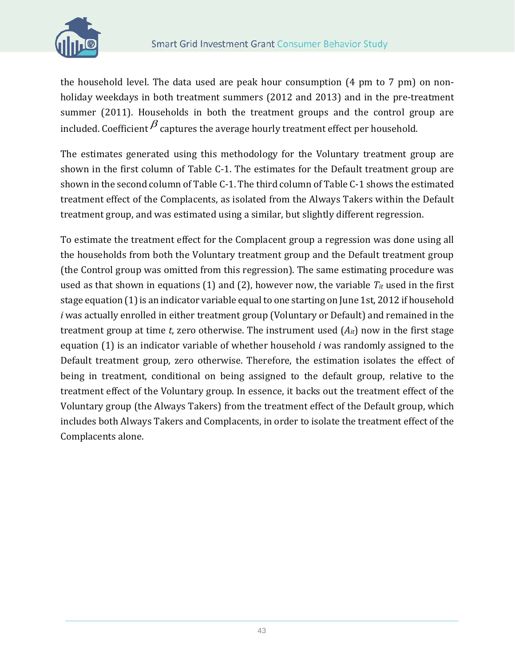

the household level. The data used are peak hour consumption (4 pm to 7 pm) on nonholiday weekdays in both treatment summers (2012 and 2013) and in the pre-treatment summer (2011). Households in both the treatment groups and the control group are included. Coefficient  $^\beta$  captures the average hourly treatment effect per household.

The estimates generated using this methodology for the Voluntary treatment group are shown in the first column of [Table C-1.](#page-66-0) The estimates for the Default treatment group are shown in the second column of [Table C-1.](#page-66-0) The third column of [Table C-1](#page-66-0) shows the estimated treatment effect of the Complacents, as isolated from the Always Takers within the Default treatment group, and was estimated using a similar, but slightly different regression.

To estimate the treatment effect for the Complacent group a regression was done using all the households from both the Voluntary treatment group and the Default treatment group (the Control group was omitted from this regression). The same estimating procedure was used as that shown in equations (1) and (2), however now, the variable *Tit* used in the first stage equation (1) is an indicator variable equal to one starting on June 1st, 2012 if household *i* was actually enrolled in either treatment group (Voluntary or Default) and remained in the treatment group at time *t*, zero otherwise. The instrument used (*Ait*) now in the first stage equation (1) is an indicator variable of whether household *i* was randomly assigned to the Default treatment group, zero otherwise. Therefore, the estimation isolates the effect of being in treatment, conditional on being assigned to the default group, relative to the treatment effect of the Voluntary group. In essence, it backs out the treatment effect of the Voluntary group (the Always Takers) from the treatment effect of the Default group, which includes both Always Takers and Complacents, in order to isolate the treatment effect of the Complacents alone.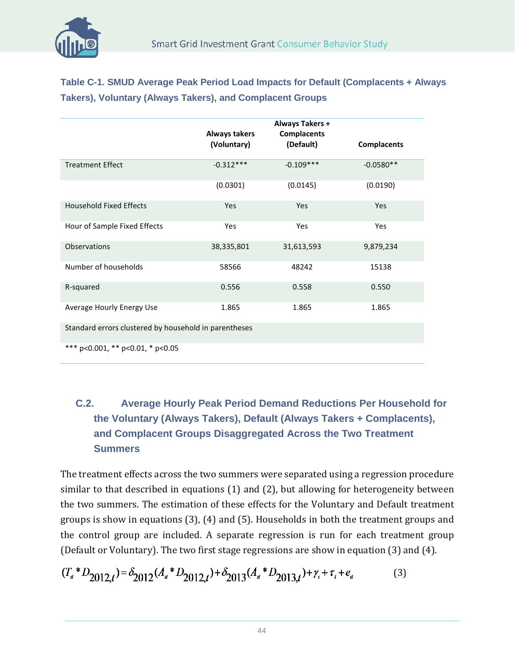

<span id="page-66-0"></span>

| Table C-1. SMUD Average Peak Period Load Impacts for Default (Complacents + Always |  |
|------------------------------------------------------------------------------------|--|
| Takers), Voluntary (Always Takers), and Complacent Groups                          |  |

|                                                       |                      | Always Takers +    |                    |  |  |  |
|-------------------------------------------------------|----------------------|--------------------|--------------------|--|--|--|
|                                                       | <b>Always takers</b> | <b>Complacents</b> |                    |  |  |  |
|                                                       | (Voluntary)          | (Default)          | <b>Complacents</b> |  |  |  |
|                                                       |                      |                    |                    |  |  |  |
| <b>Treatment Effect</b>                               | $-0.312***$          | $-0.109***$        | $-0.0580**$        |  |  |  |
|                                                       | (0.0301)             | (0.0145)           | (0.0190)           |  |  |  |
| <b>Household Fixed Effects</b>                        | Yes                  | Yes                | Yes                |  |  |  |
| Hour of Sample Fixed Effects                          | Yes                  | Yes                | Yes                |  |  |  |
| Observations                                          | 38,335,801           | 31,613,593         | 9,879,234          |  |  |  |
| Number of households                                  | 58566                | 48242              | 15138              |  |  |  |
| R-squared                                             | 0.556                | 0.558              | 0.550              |  |  |  |
| Average Hourly Energy Use                             | 1.865                | 1.865              | 1.865              |  |  |  |
| Standard errors clustered by household in parentheses |                      |                    |                    |  |  |  |
| *** p<0.001, ** p<0.01, * p<0.05                      |                      |                    |                    |  |  |  |

## <span id="page-66-1"></span>**C.2. Average Hourly Peak Period Demand Reductions Per Household for the Voluntary (Always Takers), Default (Always Takers + Complacents), and Complacent Groups Disaggregated Across the Two Treatment Summers**

The treatment effects across the two summers were separated using a regression procedure similar to that described in equations (1) and (2), but allowing for heterogeneity between the two summers. The estimation of these effects for the Voluntary and Default treatment groups is show in equations (3), (4) and (5). Households in both the treatment groups and the control group are included. A separate regression is run for each treatment group (Default or Voluntary). The two first stage regressions are show in equation (3) and (4).

$$
(T_{u}^{*}D_{2012,t}) = \delta_{2012}(A_{u}^{*}D_{2012,t}) + \delta_{2013}(A_{u}^{*}D_{2013,t}) + \gamma_{i} + \tau_{i} + e_{u}
$$
 (3)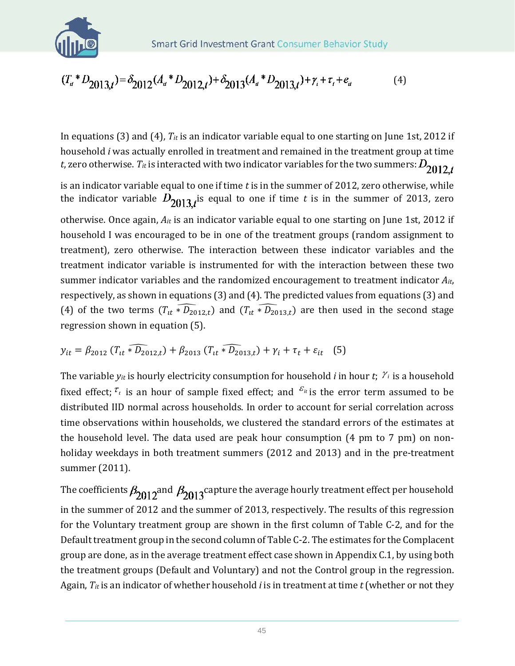

$$
(T_u * D_{2013,t}) = \delta_{2012}(A_u * D_{2012,t}) + \delta_{2013}(A_u * D_{2013,t}) + \gamma_i + \tau_i + e_u
$$
 (4)

In equations (3) and (4), *Tit* is an indicator variable equal to one starting on June 1st, 2012 if household *i* was actually enrolled in treatment and remained in the treatment group at time *t*, zero otherwise.  $T_{it}$  is interacted with two indicator variables for the two summers:  $D_{2012,t}$ 

is an indicator variable equal to one if time *t* is in the summer of 2012, zero otherwise, while the indicator variable  $D_{2013}$  is equal to one if time *t* is in the summer of 2013, zero otherwise. Once again, *Ait* is an indicator variable equal to one starting on June 1st, 2012 if household I was encouraged to be in one of the treatment groups (random assignment to treatment), zero otherwise. The interaction between these indicator variables and the treatment indicator variable is instrumented for with the interaction between these two summer indicator variables and the randomized encouragement to treatment indicator *Ait*, respectively, as shown in equations (3) and (4). The predicted values from equations (3) and (4) of the two terms  $(T_{tt} * D_{2012,t})$  and  $(T_{tt} * D_{2013,t})$  are then used in the second stage regression shown in equation (5).

$$
y_{it} = \beta_{2012} (T_{it} * D_{2012,t}) + \beta_{2013} (T_{it} * D_{2013,t}) + \gamma_i + \tau_t + \varepsilon_{it} \quad (5)
$$

The variable  $y_{it}$  is hourly electricity consumption for household *i* in hour *t*;  $\gamma_i$  is a household fixed effect;  $\tau_t$  is an hour of sample fixed effect; and  $\epsilon$ <sup>*t*</sup> *i* is the error term assumed to be distributed IID normal across households. In order to account for serial correlation across time observations within households, we clustered the standard errors of the estimates at the household level. The data used are peak hour consumption (4 pm to 7 pm) on nonholiday weekdays in both treatment summers (2012 and 2013) and in the pre-treatment summer (2011).

The coefficients  $\beta_{2012}$  and  $\beta_{2013}$  capture the average hourly treatment effect per household in the summer of 2012 and the summer of 2013, respectively. The results of this regression for the Voluntary treatment group are shown in the first column of [Table C-2,](#page-68-0) and for the Default treatment group in the second column of [Table C-2.](#page-68-0) The estimates for the Complacent group are done, as in the average treatment effect case shown in Appendi[x C.1,](#page-64-3) by using both the treatment groups (Default and Voluntary) and not the Control group in the regression. Again, *Tit* is an indicator of whether household *i* is in treatment at time *t* (whether or not they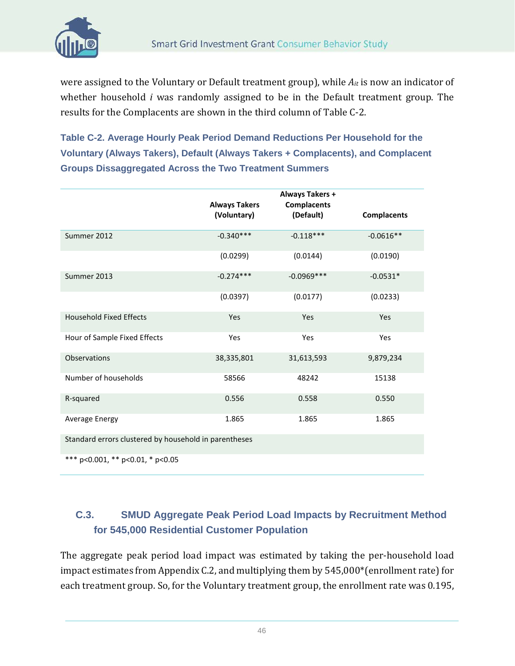

were assigned to the Voluntary or Default treatment group), while *Ait* is now an indicator of whether household *i* was randomly assigned to be in the Default treatment group. The results for the Complacents are shown in the third column of [Table C-2.](#page-68-0) 

<span id="page-68-0"></span>**Table C-2. Average Hourly Peak Period Demand Reductions Per Household for the Voluntary (Always Takers), Default (Always Takers + Complacents), and Complacent Groups Dissaggregated Across the Two Treatment Summers**

|                                                       | <b>Always Takers</b><br>(Voluntary) | Always Takers +<br><b>Complacents</b><br>(Default) | <b>Complacents</b> |  |  |  |
|-------------------------------------------------------|-------------------------------------|----------------------------------------------------|--------------------|--|--|--|
| Summer 2012                                           | $-0.340***$                         | $-0.118***$                                        | $-0.0616**$        |  |  |  |
|                                                       | (0.0299)                            | (0.0144)                                           | (0.0190)           |  |  |  |
| Summer 2013                                           | $-0.274***$                         | $-0.0969***$                                       | $-0.0531*$         |  |  |  |
|                                                       | (0.0397)                            | (0.0177)                                           | (0.0233)           |  |  |  |
| <b>Household Fixed Effects</b>                        | Yes                                 | Yes                                                | Yes                |  |  |  |
| Hour of Sample Fixed Effects                          | Yes                                 | Yes                                                | Yes                |  |  |  |
| Observations                                          | 38,335,801                          | 31,613,593                                         | 9,879,234          |  |  |  |
| Number of households                                  | 58566                               | 48242                                              | 15138              |  |  |  |
| R-squared                                             | 0.556                               | 0.558                                              | 0.550              |  |  |  |
| <b>Average Energy</b>                                 | 1.865                               | 1.865                                              | 1.865              |  |  |  |
| Standard errors clustered by household in parentheses |                                     |                                                    |                    |  |  |  |
| *** p<0.001, ** p<0.01, * p<0.05                      |                                     |                                                    |                    |  |  |  |

## **C.3. SMUD Aggregate Peak Period Load Impacts by Recruitment Method for 545,000 Residential Customer Population**

The aggregate peak period load impact was estimated by taking the per-household load impact estimates from Appendi[x C.2,](#page-66-1) and multiplying them by 545,000\*(enrollment rate) for each treatment group. So, for the Voluntary treatment group, the enrollment rate was 0.195,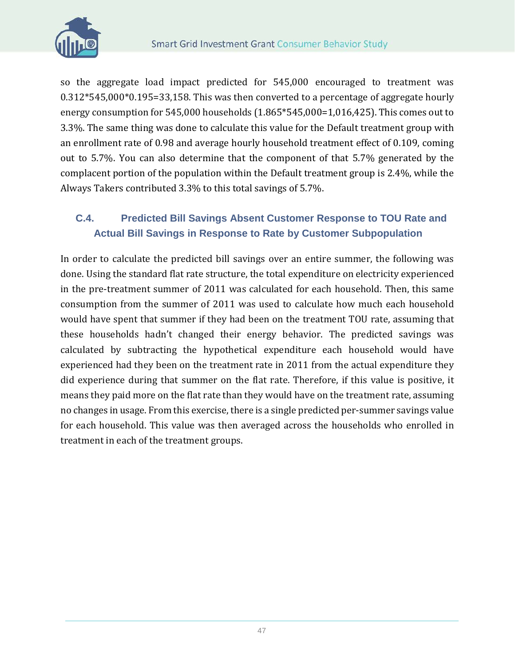

so the aggregate load impact predicted for 545,000 encouraged to treatment was 0.312\*545,000\*0.195=33,158. This was then converted to a percentage of aggregate hourly energy consumption for 545,000 households (1.865\*545,000=1,016,425). This comes out to 3.3%. The same thing was done to calculate this value for the Default treatment group with an enrollment rate of 0.98 and average hourly household treatment effect of 0.109, coming out to 5.7%. You can also determine that the component of that 5.7% generated by the complacent portion of the population within the Default treatment group is 2.4%, while the Always Takers contributed 3.3% to this total savings of 5.7%.

## **C.4. Predicted Bill Savings Absent Customer Response to TOU Rate and Actual Bill Savings in Response to Rate by Customer Subpopulation**

In order to calculate the predicted bill savings over an entire summer, the following was done. Using the standard flat rate structure, the total expenditure on electricity experienced in the pre-treatment summer of 2011 was calculated for each household. Then, this same consumption from the summer of 2011 was used to calculate how much each household would have spent that summer if they had been on the treatment TOU rate, assuming that these households hadn't changed their energy behavior. The predicted savings was calculated by subtracting the hypothetical expenditure each household would have experienced had they been on the treatment rate in 2011 from the actual expenditure they did experience during that summer on the flat rate. Therefore, if this value is positive, it means they paid more on the flat rate than they would have on the treatment rate, assuming no changes in usage. From this exercise, there is a single predicted per-summer savings value for each household. This value was then averaged across the households who enrolled in treatment in each of the treatment groups.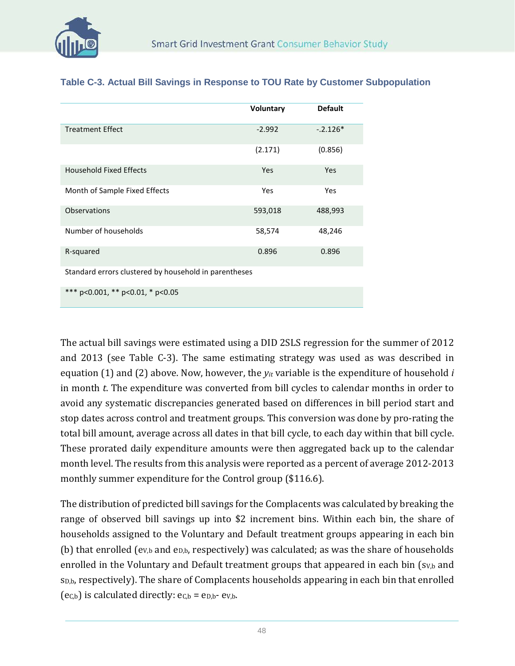

|                                                       | Voluntary | <b>Default</b> |  |  |  |
|-------------------------------------------------------|-----------|----------------|--|--|--|
| <b>Treatment Effect</b>                               | $-2.992$  | $-.2.126*$     |  |  |  |
|                                                       | (2.171)   | (0.856)        |  |  |  |
| <b>Household Fixed Effects</b>                        | Yes       | <b>Yes</b>     |  |  |  |
| Month of Sample Fixed Effects                         | Yes       | Yes            |  |  |  |
| Observations                                          | 593,018   | 488,993        |  |  |  |
| Number of households                                  | 58,574    | 48,246         |  |  |  |
| R-squared                                             | 0.896     | 0.896          |  |  |  |
| Standard errors clustered by household in parentheses |           |                |  |  |  |

<span id="page-70-0"></span>

|  |  |  |  |  | Table C-3. Actual Bill Savings in Response to TOU Rate by Customer Subpopulation |  |
|--|--|--|--|--|----------------------------------------------------------------------------------|--|
|  |  |  |  |  |                                                                                  |  |

\*\*\* p<0.001, \*\* p<0.01, \* p<0.05

The actual bill savings were estimated using a DID 2SLS regression for the summer of 2012 and 2013 (see [Table C-3\)](#page-70-0). The same estimating strategy was used as was described in equation (1) and (2) above. Now, however, the  $v_{it}$  variable is the expenditure of household *i* in month *t*. The expenditure was converted from bill cycles to calendar months in order to avoid any systematic discrepancies generated based on differences in bill period start and stop dates across control and treatment groups. This conversion was done by pro-rating the total bill amount, average across all dates in that bill cycle, to each day within that bill cycle. These prorated daily expenditure amounts were then aggregated back up to the calendar month level. The results from this analysis were reported as a percent of average 2012-2013 monthly summer expenditure for the Control group (\$116.6).

The distribution of predicted bill savings for the Complacents was calculated by breaking the range of observed bill savings up into \$2 increment bins. Within each bin, the share of households assigned to the Voluntary and Default treatment groups appearing in each bin (b) that enrolled (ev,b and e<sub>D,b</sub>, respectively) was calculated; as was the share of households enrolled in the Voluntary and Default treatment groups that appeared in each bin (Sv,b and sD,b, respectively). The share of Complacents households appearing in each bin that enrolled  $(e_{C,b})$  is calculated directly:  $e_{C,b} = e_{D,b} - e_{V,b}$ .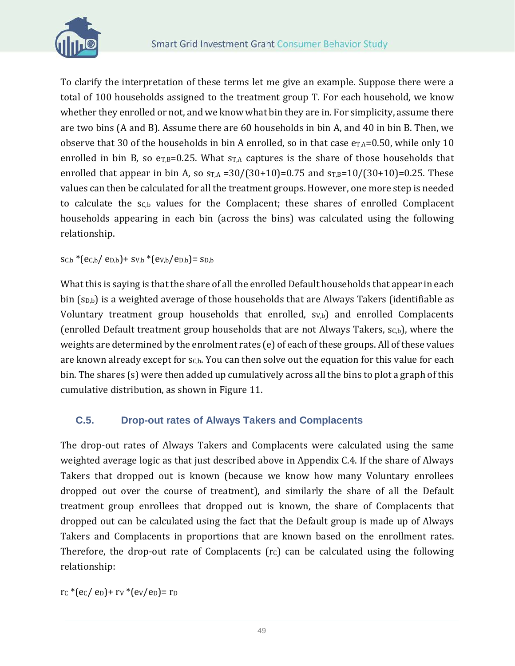

To clarify the interpretation of these terms let me give an example. Suppose there were a total of 100 households assigned to the treatment group T. For each household, we know whether they enrolled or not, and we know what bin they are in. For simplicity, assume there are two bins (A and B). Assume there are 60 households in bin A, and 40 in bin B. Then, we observe that 30 of the households in bin A enrolled, so in that case  $e_{T,A}=0.50$ , while only 10 enrolled in bin B, so  $e_{T,B}=0.25$ . What  $s_{T,A}$  captures is the share of those households that enrolled that appear in bin A, so  $s_{T,A} = 30/(30+10) = 0.75$  and  $s_{T,B} = 10/(30+10) = 0.25$ . These values can then be calculated for all the treatment groups. However, one more step is needed to calculate the  $s_{C,b}$  values for the Complacent; these shares of enrolled Complacent households appearing in each bin (across the bins) was calculated using the following relationship.

 $s_{C,b}$  \* $(e_{C,b}/e_{D,b})$ +  $s_{V,b}$  \* $(e_{V,b}/e_{D,b})$ =  $s_{D,b}$ 

What this is saying is that the share of all the enrolled Default households that appear in each bin  $(s_{D,b})$  is a weighted average of those households that are Always Takers (identifiable as Voluntary treatment group households that enrolled,  $s_{V,b}$ ) and enrolled Complacents (enrolled Default treatment group households that are not Always Takers,  $s_{C,b}$ ), where the weights are determined by the enrolment rates (e) of each of these groups. All of these values are known already except for  $s_{C,b}$ . You can then solve out the equation for this value for each bin. The shares (s) were then added up cumulatively across all the bins to plot a graph of this cumulative distribution, as shown in [Figure 11.](#page-47-0)

## **C.5. Drop-out rates of Always Takers and Complacents**

The drop-out rates of Always Takers and Complacents were calculated using the same weighted average logic as that just described above in Appendix C.4. If the share of Always Takers that dropped out is known (because we know how many Voluntary enrollees dropped out over the course of treatment), and similarly the share of all the Default treatment group enrollees that dropped out is known, the share of Complacents that dropped out can be calculated using the fact that the Default group is made up of Always Takers and Complacents in proportions that are known based on the enrollment rates. Therefore, the drop-out rate of Complacents  $(r<sub>C</sub>)$  can be calculated using the following relationship:

 $r_{C}$  \*(e<sub>C</sub>/ e<sub>D</sub>)+  $r_{V}$  \*(e<sub>V</sub>/e<sub>D</sub>)=  $r_{D}$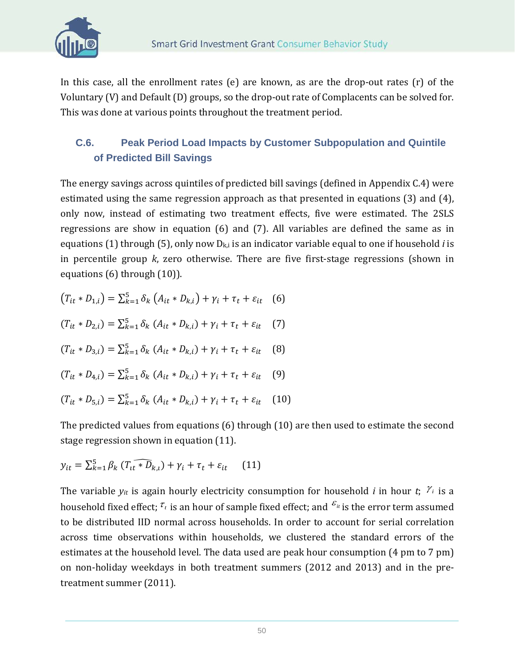

In this case, all the enrollment rates (e) are known, as are the drop-out rates (r) of the Voluntary (V) and Default (D) groups, so the drop-out rate of Complacents can be solved for. This was done at various points throughout the treatment period.

## **C.6. Peak Period Load Impacts by Customer Subpopulation and Quintile of Predicted Bill Savings**

The energy savings across quintiles of predicted bill savings (defined in Appendix C.4) were estimated using the same regression approach as that presented in equations (3) and (4), only now, instead of estimating two treatment effects, five were estimated. The 2SLS regressions are show in equation (6) and (7). All variables are defined the same as in equations (1) through (5), only now  $D_{k,i}$  is an indicator variable equal to one if household *i* is in percentile group *k*, zero otherwise. There are five first-stage regressions (shown in equations (6) through (10)).

$$
(T_{it} * D_{1,i}) = \sum_{k=1}^{5} \delta_k (A_{it} * D_{k,i}) + \gamma_i + \tau_t + \varepsilon_{it} \quad (6)
$$
  
\n
$$
(T_{it} * D_{2,i}) = \sum_{k=1}^{5} \delta_k (A_{it} * D_{k,i}) + \gamma_i + \tau_t + \varepsilon_{it} \quad (7)
$$
  
\n
$$
(T_{it} * D_{3,i}) = \sum_{k=1}^{5} \delta_k (A_{it} * D_{k,i}) + \gamma_i + \tau_t + \varepsilon_{it} \quad (8)
$$
  
\n
$$
(T_{it} * D_{4,i}) = \sum_{k=1}^{5} \delta_k (A_{it} * D_{k,i}) + \gamma_i + \tau_t + \varepsilon_{it} \quad (9)
$$
  
\n
$$
(T_{it} * D_{5,i}) = \sum_{k=1}^{5} \delta_k (A_{it} * D_{k,i}) + \gamma_i + \tau_t + \varepsilon_{it} \quad (10)
$$

The predicted values from equations (6) through (10) are then used to estimate the second stage regression shown in equation (11).

$$
y_{it} = \sum_{k=1}^{5} \beta_k \left( T_{it} \widehat{\ast D_{k,t}} \right) + \gamma_i + \tau_t + \varepsilon_{it} \qquad (11)
$$

The variable  $y_{it}$  is again hourly electricity consumption for household *i* in hour *t*;  $\gamma_i$  is a household fixed effect;  $\tau_{\iota}$  is an hour of sample fixed effect; and  $\epsilon_{\iota}$  is the error term assumed to be distributed IID normal across households. In order to account for serial correlation across time observations within households, we clustered the standard errors of the estimates at the household level. The data used are peak hour consumption (4 pm to 7 pm) on non-holiday weekdays in both treatment summers (2012 and 2013) and in the pretreatment summer (2011).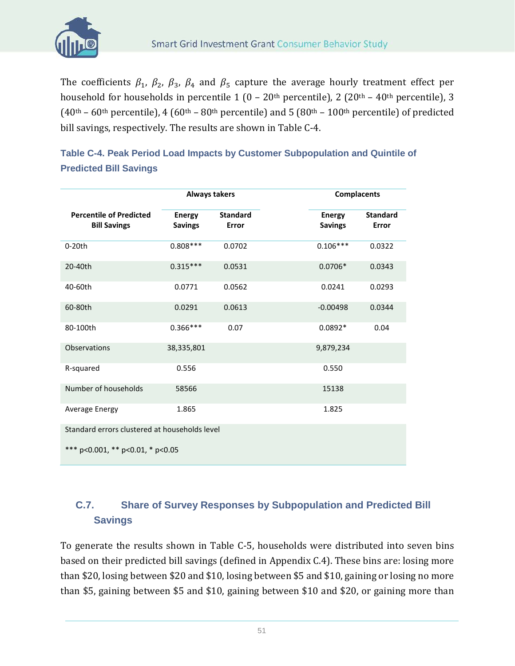

The coefficients  $\beta_1$ ,  $\beta_2$ ,  $\beta_3$ ,  $\beta_4$  and  $\beta_5$  capture the average hourly treatment effect per household for households in percentile 1 (0 – 20<sup>th</sup> percentile), 2 (20<sup>th</sup> – 40<sup>th</sup> percentile), 3  $(40<sup>th</sup> – 60<sup>th</sup>$  percentile), 4 (60<sup>th</sup> – 80<sup>th</sup> percentile) and 5 (80<sup>th</sup> – 100<sup>th</sup> percentile) of predicted bill savings, respectively. The results are shown in [Table C-4.](#page-73-0)

## <span id="page-73-0"></span>**Table C-4. Peak Period Load Impacts by Customer Subpopulation and Quintile of Predicted Bill Savings**

|                                                       | <b>Always takers</b>            |                          | <b>Complacents</b>              |                          |  |  |
|-------------------------------------------------------|---------------------------------|--------------------------|---------------------------------|--------------------------|--|--|
| <b>Percentile of Predicted</b><br><b>Bill Savings</b> | <b>Energy</b><br><b>Savings</b> | <b>Standard</b><br>Error | <b>Energy</b><br><b>Savings</b> | <b>Standard</b><br>Error |  |  |
| $0-20th$                                              | $0.808***$                      | 0.0702                   | $0.106***$                      | 0.0322                   |  |  |
| 20-40th                                               | $0.315***$                      | 0.0531                   | $0.0706*$                       | 0.0343                   |  |  |
| 40-60th                                               | 0.0771                          | 0.0562                   | 0.0241                          | 0.0293                   |  |  |
| 60-80th                                               | 0.0291                          | 0.0613                   | $-0.00498$                      | 0.0344                   |  |  |
| 80-100th                                              | $0.366***$                      | 0.07                     | $0.0892*$                       | 0.04                     |  |  |
| Observations                                          | 38,335,801                      |                          | 9,879,234                       |                          |  |  |
| R-squared                                             | 0.556                           |                          | 0.550                           |                          |  |  |
| Number of households                                  | 58566                           |                          | 15138                           |                          |  |  |
| Average Energy                                        | 1.865                           |                          | 1.825                           |                          |  |  |
| Standard errors clustered at households level         |                                 |                          |                                 |                          |  |  |
| *** p<0.001, ** p<0.01, * p<0.05                      |                                 |                          |                                 |                          |  |  |

## **C.7. Share of Survey Responses by Subpopulation and Predicted Bill Savings**

To generate the results shown in [Table C-5,](#page-75-0) households were distributed into seven bins based on their predicted bill savings (defined in Appendix [C.4\)](#page-69-0). These bins are: losing more than \$20, losing between \$20 and \$10, losing between \$5 and \$10, gaining or losing no more than \$5, gaining between \$5 and \$10, gaining between \$10 and \$20, or gaining more than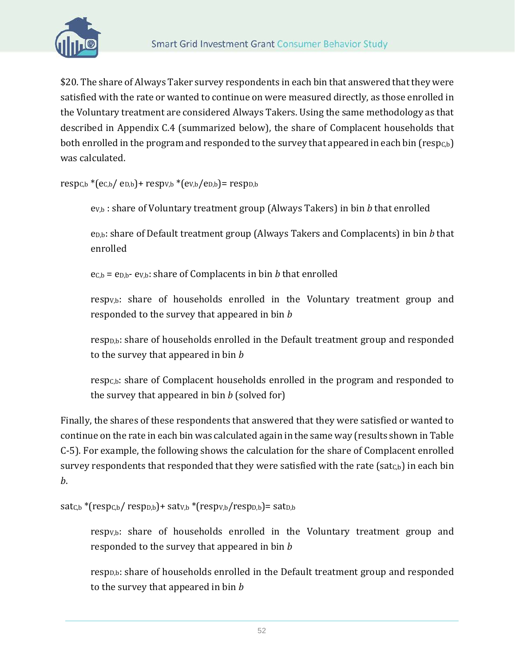

\$20. The share of Always Taker survey respondents in each bin that answered that they were satisfied with the rate or wanted to continue on were measured directly, as those enrolled in the Voluntary treatment are considered Always Takers. Using the same methodology as that described in Appendix [C.4](#page-69-0) (summarized below), the share of Complacent households that both enrolled in the program and responded to the survey that appeared in each bin ( $resp_{C,b}$ ) was calculated.

 $resp_{C,b} * (e_{C,b}/e_{D,b}) + resp_{V,b} * (e_{V,b}/e_{D,b}) = resp_{D,b}$ 

eV,b : share of Voluntary treatment group (Always Takers) in bin *b* that enrolled

eD,b: share of Default treatment group (Always Takers and Complacents) in bin *b* that enrolled

 $e_{C,b} = e_{D,b}$ -  $e_{V,b}$ : share of Complacents in bin *b* that enrolled

resp<sub>V,b</sub>: share of households enrolled in the Voluntary treatment group and responded to the survey that appeared in bin *b*

 $resp<sub>b</sub>$ : share of households enrolled in the Default treatment group and responded to the survey that appeared in bin *b*

 $resp_{C,b}$ : share of Complacent households enrolled in the program and responded to the survey that appeared in bin *b* (solved for)

Finally, the shares of these respondents that answered that they were satisfied or wanted to continue on the rate in each bin was calculated again in the same way (results shown i[n Table](#page-75-0)  [C-5\)](#page-75-0). For example, the following shows the calculation for the share of Complacent enrolled survey respondents that responded that they were satisfied with the rate ( $sat_{C,b}$ ) in each bin *b*.

```
\text{sat}_{\text{C},b} *(\text{resp}_{\text{C},b}/\text{resp}_{\text{D},b})+ sat<sub>V,b</sub> *(\text{resp}_{\text{D},b}/\text{resp}_{\text{D},b})= sat<sub>D,b</sub>
```
resp<sub>V,b</sub>: share of households enrolled in the Voluntary treatment group and responded to the survey that appeared in bin *b*

resp<sub>D,b</sub>: share of households enrolled in the Default treatment group and responded to the survey that appeared in bin *b*